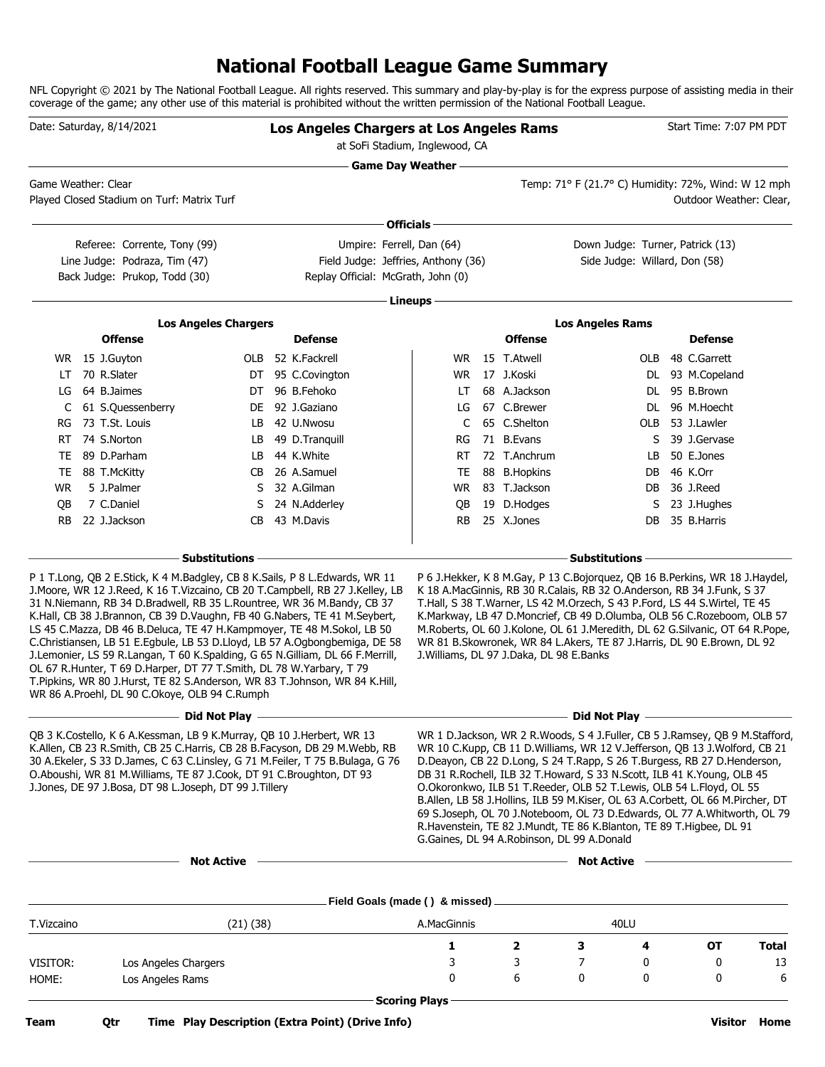## **National Football League Game Summary**

NFL Copyright © 2021 by The National Football League. All rights reserved. This summary and play-by-play is for the express purpose of assisting media in their coverage of the game; any other use of this material is prohibited without the written permission of the National Football League.

|            | Date: Saturday, 8/14/2021                                                                                                                                                                                                                                                                                                                                                                                                                                                                                                                                                                                                                                                                                                                                              |                             |  | Los Angeles Chargers at Los Angeles Rams<br>at SoFi Stadium, Inglewood, CA                                                                                                                                                                                                                                                                                                                                                                                                                                                                                                                                                                                                   |                        |                                                                                                                                                                                                                                                                                                                                                                                                                                           |                      | Start Time: 7:07 PM PDT                   |  |                                                     |              |  |  |
|------------|------------------------------------------------------------------------------------------------------------------------------------------------------------------------------------------------------------------------------------------------------------------------------------------------------------------------------------------------------------------------------------------------------------------------------------------------------------------------------------------------------------------------------------------------------------------------------------------------------------------------------------------------------------------------------------------------------------------------------------------------------------------------|-----------------------------|--|------------------------------------------------------------------------------------------------------------------------------------------------------------------------------------------------------------------------------------------------------------------------------------------------------------------------------------------------------------------------------------------------------------------------------------------------------------------------------------------------------------------------------------------------------------------------------------------------------------------------------------------------------------------------------|------------------------|-------------------------------------------------------------------------------------------------------------------------------------------------------------------------------------------------------------------------------------------------------------------------------------------------------------------------------------------------------------------------------------------------------------------------------------------|----------------------|-------------------------------------------|--|-----------------------------------------------------|--------------|--|--|
|            | Game Weather: Clear                                                                                                                                                                                                                                                                                                                                                                                                                                                                                                                                                                                                                                                                                                                                                    |                             |  | <b>Game Day Weather -</b>                                                                                                                                                                                                                                                                                                                                                                                                                                                                                                                                                                                                                                                    |                        |                                                                                                                                                                                                                                                                                                                                                                                                                                           |                      |                                           |  | Temp: 71° F (21.7° C) Humidity: 72%, Wind: W 12 mph |              |  |  |
|            | Played Closed Stadium on Turf: Matrix Turf                                                                                                                                                                                                                                                                                                                                                                                                                                                                                                                                                                                                                                                                                                                             |                             |  |                                                                                                                                                                                                                                                                                                                                                                                                                                                                                                                                                                                                                                                                              |                        |                                                                                                                                                                                                                                                                                                                                                                                                                                           |                      |                                           |  | Outdoor Weather: Clear,                             |              |  |  |
|            |                                                                                                                                                                                                                                                                                                                                                                                                                                                                                                                                                                                                                                                                                                                                                                        |                             |  |                                                                                                                                                                                                                                                                                                                                                                                                                                                                                                                                                                                                                                                                              | Officials -            |                                                                                                                                                                                                                                                                                                                                                                                                                                           |                      |                                           |  |                                                     |              |  |  |
|            | Referee: Corrente, Tony (99)                                                                                                                                                                                                                                                                                                                                                                                                                                                                                                                                                                                                                                                                                                                                           |                             |  | Umpire: Ferrell, Dan (64)                                                                                                                                                                                                                                                                                                                                                                                                                                                                                                                                                                                                                                                    |                        |                                                                                                                                                                                                                                                                                                                                                                                                                                           |                      | Down Judge: Turner, Patrick (13)          |  |                                                     |              |  |  |
|            | Line Judge: Podraza, Tim (47)<br>Back Judge: Prukop, Todd (30)                                                                                                                                                                                                                                                                                                                                                                                                                                                                                                                                                                                                                                                                                                         |                             |  | Field Judge: Jeffries, Anthony (36)<br>Replay Official: McGrath, John (0)                                                                                                                                                                                                                                                                                                                                                                                                                                                                                                                                                                                                    |                        |                                                                                                                                                                                                                                                                                                                                                                                                                                           |                      | Side Judge: Willard, Don (58)             |  |                                                     |              |  |  |
|            |                                                                                                                                                                                                                                                                                                                                                                                                                                                                                                                                                                                                                                                                                                                                                                        |                             |  |                                                                                                                                                                                                                                                                                                                                                                                                                                                                                                                                                                                                                                                                              |                        |                                                                                                                                                                                                                                                                                                                                                                                                                                           |                      |                                           |  |                                                     |              |  |  |
|            |                                                                                                                                                                                                                                                                                                                                                                                                                                                                                                                                                                                                                                                                                                                                                                        |                             |  |                                                                                                                                                                                                                                                                                                                                                                                                                                                                                                                                                                                                                                                                              | Lineups                |                                                                                                                                                                                                                                                                                                                                                                                                                                           |                      |                                           |  |                                                     |              |  |  |
|            | <b>Offense</b>                                                                                                                                                                                                                                                                                                                                                                                                                                                                                                                                                                                                                                                                                                                                                         | <b>Los Angeles Chargers</b> |  | <b>Defense</b>                                                                                                                                                                                                                                                                                                                                                                                                                                                                                                                                                                                                                                                               |                        | <b>Offense</b>                                                                                                                                                                                                                                                                                                                                                                                                                            |                      | <b>Los Angeles Rams</b><br><b>Defense</b> |  |                                                     |              |  |  |
|            | WR 15 J.Guyton                                                                                                                                                                                                                                                                                                                                                                                                                                                                                                                                                                                                                                                                                                                                                         |                             |  | OLB 52 K.Fackrell                                                                                                                                                                                                                                                                                                                                                                                                                                                                                                                                                                                                                                                            | WR.                    | 15 T.Atwell                                                                                                                                                                                                                                                                                                                                                                                                                               |                      | OLB                                       |  | 48 C.Garrett                                        |              |  |  |
| LT         | 70 R.Slater                                                                                                                                                                                                                                                                                                                                                                                                                                                                                                                                                                                                                                                                                                                                                            | DT                          |  | 95 C.Covington                                                                                                                                                                                                                                                                                                                                                                                                                                                                                                                                                                                                                                                               | <b>WR</b>              | 17 J.Koski                                                                                                                                                                                                                                                                                                                                                                                                                                |                      | DL.                                       |  | 93 M.Copeland                                       |              |  |  |
| LG         | 64 B.Jaimes                                                                                                                                                                                                                                                                                                                                                                                                                                                                                                                                                                                                                                                                                                                                                            | DT                          |  | 96 B.Fehoko                                                                                                                                                                                                                                                                                                                                                                                                                                                                                                                                                                                                                                                                  | LT                     | 68 A.Jackson                                                                                                                                                                                                                                                                                                                                                                                                                              |                      | DL                                        |  | 95 B.Brown                                          |              |  |  |
| С          | 61 S.Quessenberry                                                                                                                                                                                                                                                                                                                                                                                                                                                                                                                                                                                                                                                                                                                                                      | DE                          |  | 92 J.Gaziano                                                                                                                                                                                                                                                                                                                                                                                                                                                                                                                                                                                                                                                                 | LG                     | 67 C.Brewer                                                                                                                                                                                                                                                                                                                                                                                                                               |                      | DL                                        |  | 96 M.Hoecht                                         |              |  |  |
| RG         | 73 T.St. Louis                                                                                                                                                                                                                                                                                                                                                                                                                                                                                                                                                                                                                                                                                                                                                         | LB                          |  | 42 U.Nwosu                                                                                                                                                                                                                                                                                                                                                                                                                                                                                                                                                                                                                                                                   | C                      | 65 C.Shelton                                                                                                                                                                                                                                                                                                                                                                                                                              |                      | OLB                                       |  | 53 J.Lawler                                         |              |  |  |
| <b>RT</b>  | 74 S.Norton                                                                                                                                                                                                                                                                                                                                                                                                                                                                                                                                                                                                                                                                                                                                                            | LB                          |  | 49 D.Tranquill                                                                                                                                                                                                                                                                                                                                                                                                                                                                                                                                                                                                                                                               | RG                     | 71 B.Evans                                                                                                                                                                                                                                                                                                                                                                                                                                |                      | S                                         |  | 39 J.Gervase                                        |              |  |  |
| TE         | 89 D.Parham                                                                                                                                                                                                                                                                                                                                                                                                                                                                                                                                                                                                                                                                                                                                                            | LB                          |  | 44 K.White                                                                                                                                                                                                                                                                                                                                                                                                                                                                                                                                                                                                                                                                   | RT                     | 72 T.Anchrum                                                                                                                                                                                                                                                                                                                                                                                                                              |                      | LB                                        |  | 50 E.Jones                                          |              |  |  |
| TE         | 88 T.McKitty                                                                                                                                                                                                                                                                                                                                                                                                                                                                                                                                                                                                                                                                                                                                                           | CB.                         |  | 26 A.Samuel                                                                                                                                                                                                                                                                                                                                                                                                                                                                                                                                                                                                                                                                  | TE                     | 88 B.Hopkins                                                                                                                                                                                                                                                                                                                                                                                                                              |                      | DB                                        |  | 46 K.Orr                                            |              |  |  |
| WR.        | 5 J.Palmer                                                                                                                                                                                                                                                                                                                                                                                                                                                                                                                                                                                                                                                                                                                                                             | S                           |  | 32 A.Gilman                                                                                                                                                                                                                                                                                                                                                                                                                                                                                                                                                                                                                                                                  | WR.                    | 83 T.Jackson                                                                                                                                                                                                                                                                                                                                                                                                                              |                      | DB                                        |  | 36 J.Reed                                           |              |  |  |
| QB         | 7 C.Daniel                                                                                                                                                                                                                                                                                                                                                                                                                                                                                                                                                                                                                                                                                                                                                             | S                           |  | 24 N.Adderley                                                                                                                                                                                                                                                                                                                                                                                                                                                                                                                                                                                                                                                                | QB                     | 19 D.Hodges                                                                                                                                                                                                                                                                                                                                                                                                                               |                      | S                                         |  | 23 J.Hughes                                         |              |  |  |
| <b>RB</b>  | 22 J.Jackson                                                                                                                                                                                                                                                                                                                                                                                                                                                                                                                                                                                                                                                                                                                                                           | CB.                         |  | 43 M.Davis                                                                                                                                                                                                                                                                                                                                                                                                                                                                                                                                                                                                                                                                   | RB.                    | 25 X.Jones                                                                                                                                                                                                                                                                                                                                                                                                                                |                      | DB                                        |  | 35 B.Harris                                         |              |  |  |
|            |                                                                                                                                                                                                                                                                                                                                                                                                                                                                                                                                                                                                                                                                                                                                                                        | <b>Substitutions</b>        |  |                                                                                                                                                                                                                                                                                                                                                                                                                                                                                                                                                                                                                                                                              |                        |                                                                                                                                                                                                                                                                                                                                                                                                                                           | <b>Substitutions</b> |                                           |  |                                                     |              |  |  |
|            | P 1 T.Long, QB 2 E.Stick, K 4 M.Badgley, CB 8 K.Sails, P 8 L.Edwards, WR 11<br>J. Moore, WR 12 J. Reed, K 16 T. Vizcaino, CB 20 T. Campbell, RB 27 J. Kelley, LB<br>31 N.Niemann, RB 34 D.Bradwell, RB 35 L.Rountree, WR 36 M.Bandy, CB 37<br>K.Hall, CB 38 J.Brannon, CB 39 D.Vaughn, FB 40 G.Nabers, TE 41 M.Seybert,<br>LS 45 C.Mazza, DB 46 B.Deluca, TE 47 H.Kampmoyer, TE 48 M.Sokol, LB 50<br>C.Christiansen, LB 51 E.Egbule, LB 53 D.Lloyd, LB 57 A.Ogbongbemiga, DE 58<br>J.Lemonier, LS 59 R.Langan, T 60 K.Spalding, G 65 N.Gilliam, DL 66 F.Merrill,<br>OL 67 R.Hunter, T 69 D.Harper, DT 77 T.Smith, DL 78 W.Yarbary, T 79<br>T.Pipkins, WR 80 J.Hurst, TE 82 S.Anderson, WR 83 T.Johnson, WR 84 K.Hill,<br>WR 86 A.Proehl, DL 90 C.Okoye, OLB 94 C.Rumph |                             |  |                                                                                                                                                                                                                                                                                                                                                                                                                                                                                                                                                                                                                                                                              |                        | K 18 A.MacGinnis, RB 30 R.Calais, RB 32 O.Anderson, RB 34 J.Funk, S 37<br>T.Hall, S 38 T. Warner, LS 42 M. Orzech, S 43 P. Ford, LS 44 S. Wirtel, TE 45<br>K.Markway, LB 47 D.Moncrief, CB 49 D.Olumba, OLB 56 C.Rozeboom, OLB 57<br>M.Roberts, OL 60 J.Kolone, OL 61 J.Meredith, DL 62 G.Silvanic, OT 64 R.Pope,<br>WR 81 B.Skowronek, WR 84 L.Akers, TE 87 J.Harris, DL 90 E.Brown, DL 92<br>J. Williams, DL 97 J. Daka, DL 98 E. Banks |                      |                                           |  |                                                     |              |  |  |
|            |                                                                                                                                                                                                                                                                                                                                                                                                                                                                                                                                                                                                                                                                                                                                                                        | Did Not Play                |  |                                                                                                                                                                                                                                                                                                                                                                                                                                                                                                                                                                                                                                                                              |                        |                                                                                                                                                                                                                                                                                                                                                                                                                                           | <b>Did Not Play</b>  |                                           |  |                                                     |              |  |  |
|            | QB 3 K.Costello, K 6 A.Kessman, LB 9 K.Murray, QB 10 J.Herbert, WR 13<br>K.Allen, CB 23 R.Smith, CB 25 C.Harris, CB 28 B.Facyson, DB 29 M.Webb, RB<br>30 A.Ekeler, S 33 D.James, C 63 C.Linsley, G 71 M.Feiler, T 75 B.Bulaga, G 76<br>O.Aboushi, WR 81 M.Williams, TE 87 J.Cook, DT 91 C.Broughton, DT 93<br>J.Jones, DE 97 J.Bosa, DT 98 L.Joseph, DT 99 J.Tillery                                                                                                                                                                                                                                                                                                                                                                                                   |                             |  | WR 1 D. Jackson, WR 2 R. Woods, S 4 J. Fuller, CB 5 J. Ramsey, OB 9 M. Stafford,<br>WR 10 C.Kupp, CB 11 D.Williams, WR 12 V.Jefferson, QB 13 J.Wolford, CB 21<br>D.Deayon, CB 22 D.Long, S 24 T.Rapp, S 26 T.Burgess, RB 27 D.Henderson,<br>DB 31 R.Rochell, ILB 32 T.Howard, S 33 N.Scott, ILB 41 K.Young, OLB 45<br>O.Okoronkwo, ILB 51 T.Reeder, OLB 52 T.Lewis, OLB 54 L.Floyd, OL 55<br>B.Allen, LB 58 J.Hollins, ILB 59 M.Kiser, OL 63 A.Corbett, OL 66 M.Pircher, DT<br>69 S.Joseph, OL 70 J.Noteboom, OL 73 D.Edwards, OL 77 A.Whitworth, OL 79<br>R.Havenstein, TE 82 J.Mundt, TE 86 K.Blanton, TE 89 T.Higbee, DL 91<br>G.Gaines, DL 94 A.Robinson, DL 99 A.Donald |                        |                                                                                                                                                                                                                                                                                                                                                                                                                                           |                      |                                           |  |                                                     |              |  |  |
|            |                                                                                                                                                                                                                                                                                                                                                                                                                                                                                                                                                                                                                                                                                                                                                                        | <b>Not Active</b>           |  |                                                                                                                                                                                                                                                                                                                                                                                                                                                                                                                                                                                                                                                                              |                        |                                                                                                                                                                                                                                                                                                                                                                                                                                           | <b>Not Active</b>    |                                           |  |                                                     |              |  |  |
|            |                                                                                                                                                                                                                                                                                                                                                                                                                                                                                                                                                                                                                                                                                                                                                                        |                             |  |                                                                                                                                                                                                                                                                                                                                                                                                                                                                                                                                                                                                                                                                              |                        |                                                                                                                                                                                                                                                                                                                                                                                                                                           |                      |                                           |  |                                                     |              |  |  |
| T.Vizcaino |                                                                                                                                                                                                                                                                                                                                                                                                                                                                                                                                                                                                                                                                                                                                                                        | (21)(38)                    |  |                                                                                                                                                                                                                                                                                                                                                                                                                                                                                                                                                                                                                                                                              | A.MacGinnis            |                                                                                                                                                                                                                                                                                                                                                                                                                                           |                      | 40LU                                      |  |                                                     |              |  |  |
|            |                                                                                                                                                                                                                                                                                                                                                                                                                                                                                                                                                                                                                                                                                                                                                                        |                             |  |                                                                                                                                                                                                                                                                                                                                                                                                                                                                                                                                                                                                                                                                              | 1                      | $\mathbf{2}$                                                                                                                                                                                                                                                                                                                                                                                                                              | з                    | 4                                         |  | OT                                                  | <b>Total</b> |  |  |
| VISITOR:   | Los Angeles Chargers                                                                                                                                                                                                                                                                                                                                                                                                                                                                                                                                                                                                                                                                                                                                                   |                             |  |                                                                                                                                                                                                                                                                                                                                                                                                                                                                                                                                                                                                                                                                              | 3                      | 3                                                                                                                                                                                                                                                                                                                                                                                                                                         | 7                    | 0                                         |  | 0                                                   | 13           |  |  |
| HOME:      | Los Angeles Rams                                                                                                                                                                                                                                                                                                                                                                                                                                                                                                                                                                                                                                                                                                                                                       |                             |  |                                                                                                                                                                                                                                                                                                                                                                                                                                                                                                                                                                                                                                                                              | 0                      | 6                                                                                                                                                                                                                                                                                                                                                                                                                                         | 0                    | 0                                         |  | 0                                                   | 6            |  |  |
|            |                                                                                                                                                                                                                                                                                                                                                                                                                                                                                                                                                                                                                                                                                                                                                                        |                             |  |                                                                                                                                                                                                                                                                                                                                                                                                                                                                                                                                                                                                                                                                              | <b>Scoring Plays -</b> |                                                                                                                                                                                                                                                                                                                                                                                                                                           |                      |                                           |  |                                                     |              |  |  |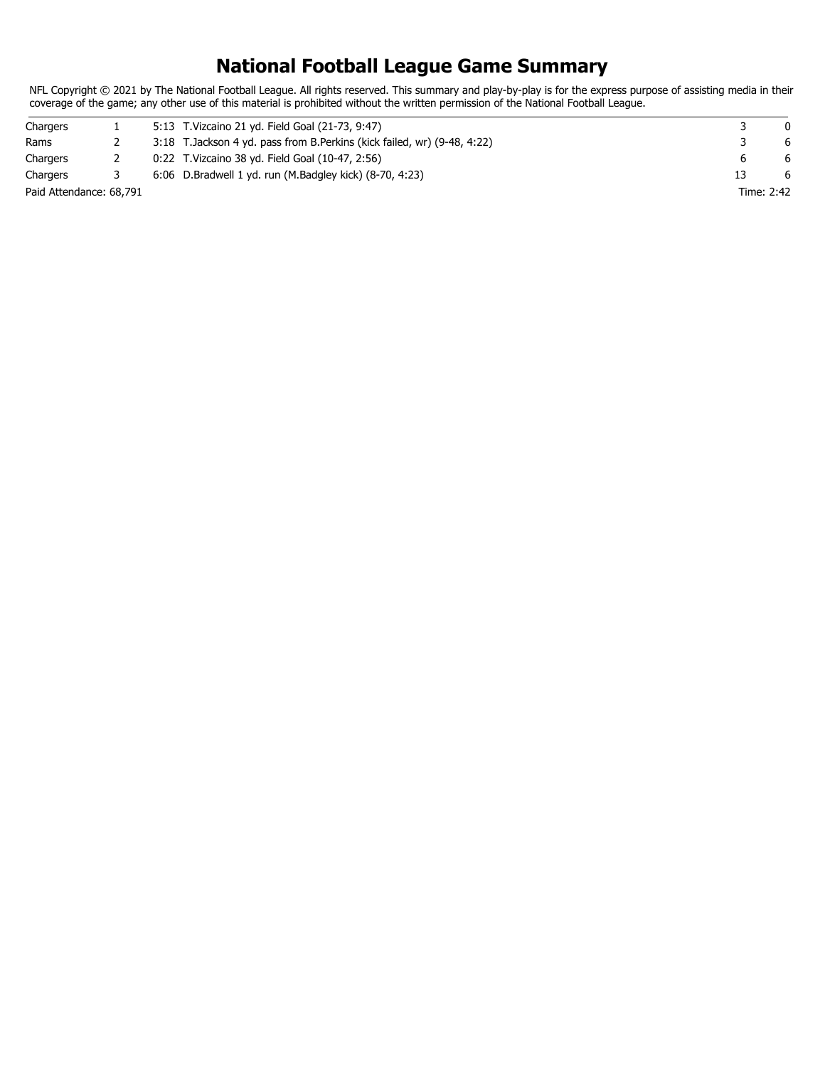# **National Football League Game Summary**

NFL Copyright © 2021 by The National Football League. All rights reserved. This summary and play-by-play is for the express purpose of assisting media in their coverage of the game; any other use of this material is prohibited without the written permission of the National Football League.

| Chargers                |  | 5:13 T. Vizcaino 21 yd. Field Goal (21-73, 9:47)                          |            |
|-------------------------|--|---------------------------------------------------------------------------|------------|
| Rams                    |  | 3:18 T. Jackson 4 yd. pass from B. Perkins (kick failed, wr) (9-48, 4:22) | 6          |
| Chargers                |  | 0:22 T. Vizcaino 38 yd. Field Goal (10-47, 2:56)                          | 6          |
| Chargers                |  | 6:06 D.Bradwell 1 yd. run (M.Badgley kick) (8-70, 4:23)                   | 6          |
| Paid Attendance: 68,791 |  |                                                                           | Time: 2:42 |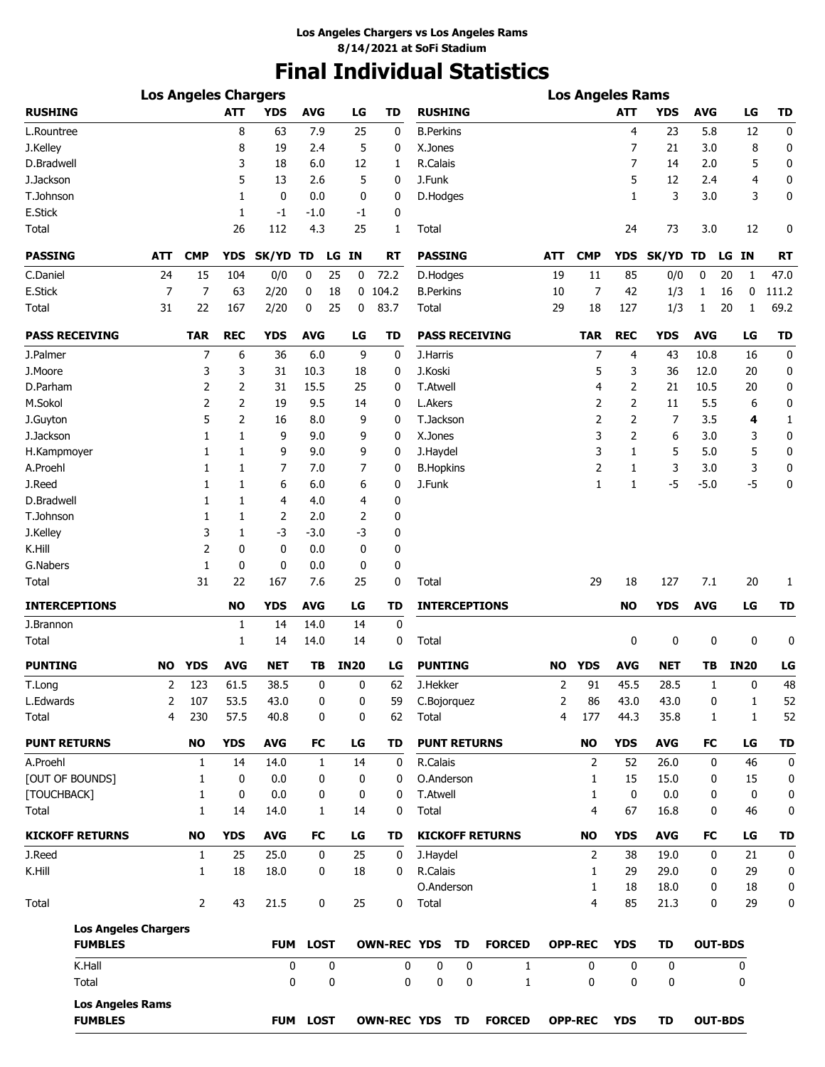# **Final Individual Statistics**

|                                           | <b>Los Angeles Chargers</b> |                |            |            |             |    |             |                    |                     |           |                        |                | <b>Los Angeles Rams</b> |             |            |              |                |           |
|-------------------------------------------|-----------------------------|----------------|------------|------------|-------------|----|-------------|--------------------|---------------------|-----------|------------------------|----------------|-------------------------|-------------|------------|--------------|----------------|-----------|
| <b>RUSHING</b>                            |                             |                | <b>ATT</b> | <b>YDS</b> | <b>AVG</b>  |    | LG          | <b>TD</b>          | <b>RUSHING</b>      |           |                        |                |                         | <b>ATT</b>  | <b>YDS</b> | <b>AVG</b>   | LG             | <b>TD</b> |
| L.Rountree                                |                             |                | 8          | 63         | 7.9         |    | 25          | 0                  | <b>B.Perkins</b>    |           |                        |                |                         | 4           | 23         | 5.8          | 12             | 0         |
| J.Kelley                                  |                             |                | 8          | 19         | 2.4         |    | 5           | 0                  | X.Jones             |           |                        |                |                         | 7           | 21         | 3.0          | 8              | 0         |
| D.Bradwell                                |                             |                | 3          | 18         | 6.0         |    | 12          | 1                  | R.Calais            |           |                        |                |                         | 7           | 14         | 2.0          | 5              | 0         |
| J.Jackson                                 |                             |                | 5          | 13         | 2.6         |    | 5           | 0                  | J.Funk              |           |                        |                |                         | 5           | 12         | 2.4          | $\overline{4}$ | 0         |
| T.Johnson                                 |                             |                | 1          | 0          | 0.0         |    | 0           | 0                  | D.Hodges            |           |                        |                |                         | 1           | 3          | 3.0          | 3              | 0         |
| E.Stick                                   |                             |                | 1          | $-1$       | -1.0        |    | -1          | 0                  |                     |           |                        |                |                         |             |            |              |                |           |
| Total                                     |                             |                | 26         | 112        | 4.3         |    | 25          | 1                  | Total               |           |                        |                |                         | 24          | 73         | 3.0          | 12             | 0         |
| <b>PASSING</b>                            | ATT                         | <b>CMP</b>     | <b>YDS</b> | SK/YD TD   |             |    | LG IN       | <b>RT</b>          | <b>PASSING</b>      |           |                        | ATT            | <b>CMP</b>              | <b>YDS</b>  | SK/YD      | TD           | LG IN          | <b>RT</b> |
| C.Daniel                                  | 24                          | 15             | 104        | 0/0        | 0           | 25 | 0           | 72.2               | D.Hodges            |           |                        | 19             | 11                      | 85          | 0/0        | 0            | 20<br>1        | 47.0      |
| E.Stick                                   | 7                           | 7              | 63         | 2/20       | 0           | 18 | 0           | 104.2              | <b>B.Perkins</b>    |           |                        | 10             | 7                       | 42          | 1/3        | 1            | 16<br>0        | 111.2     |
| Total                                     | 31                          | 22             | 167        | 2/20       | 0           | 25 | 0           | 83.7               | Total               |           |                        | 29             | 18                      | 127         | 1/3        | 1            | 20<br>1        | 69.2      |
| <b>PASS RECEIVING</b>                     |                             | <b>TAR</b>     | <b>REC</b> | <b>YDS</b> | <b>AVG</b>  |    | LG          | TD                 |                     |           | <b>PASS RECEIVING</b>  |                | <b>TAR</b>              | <b>REC</b>  | <b>YDS</b> | <b>AVG</b>   | LG             | <b>TD</b> |
| J.Palmer                                  |                             | 7              | 6          | 36         | 6.0         |    | 9           | 0                  | J.Harris            |           |                        |                | 7                       | 4           | 43         | 10.8         | 16             | 0         |
| J.Moore                                   |                             | 3              | 3          | 31         | 10.3        |    | 18          | 0                  | J.Koski             |           |                        |                | 5                       | 3           | 36         | 12.0         | 20             | 0         |
| D.Parham                                  |                             | 2              | 2          | 31         | 15.5        |    | 25          | 0                  | <b>T.Atwell</b>     |           |                        |                | 4                       | 2           | 21         | 10.5         | 20             | 0         |
| M.Sokol                                   |                             | 2              | 2          | 19         | 9.5         |    | 14          | 0                  | L.Akers             |           |                        |                | 2                       | 2           | 11         | 5.5          | 6              | 0         |
| J.Guyton                                  |                             | 5              | 2          | 16         | 8.0         |    | 9           | 0                  | T.Jackson           |           |                        |                | 2                       | 2           | 7          | 3.5          | 4              | 1         |
| J.Jackson                                 |                             | 1              | 1          | 9          | 9.0         |    | 9           | 0                  | X.Jones             |           |                        |                | 3                       | 2           | 6          | 3.0          | 3              | 0         |
| H.Kampmoyer                               |                             | 1              | 1          | 9          | 9.0         |    | 9           | 0                  | J.Haydel            |           |                        |                | 3                       | 1           | 5          | 5.0          | 5              | 0         |
| A.Proehl                                  |                             | 1              | 1          | 7          | 7.0         |    | 7           | 0                  | <b>B.Hopkins</b>    |           |                        |                | 2                       | 1           | 3          | 3.0          | 3              | 0         |
| J.Reed                                    |                             | 1              | 1          | 6          | 6.0         |    | 6           | 0                  | J.Funk              |           |                        |                | 1                       | 1           | $-5$       | $-5.0$       | $-5$           | 0         |
| D.Bradwell                                |                             | 1              | 1          | 4          | 4.0         |    | 4           | 0                  |                     |           |                        |                |                         |             |            |              |                |           |
| T.Johnson                                 |                             | 1              | 1          | 2          | 2.0         |    | 2           | 0                  |                     |           |                        |                |                         |             |            |              |                |           |
| J.Kelley                                  |                             | 3              | 1          | -3         | $-3.0$      |    | -3          | 0                  |                     |           |                        |                |                         |             |            |              |                |           |
| K.Hill                                    |                             | 2              | 0          | 0          | 0.0         |    | 0           | 0                  |                     |           |                        |                |                         |             |            |              |                |           |
| G.Nabers                                  |                             | 1              | 0          | 0          | 0.0         |    | 0           | 0                  |                     |           |                        |                |                         |             |            |              |                |           |
| Total                                     |                             | 31             | 22         | 167        | 7.6         |    | 25          | 0                  | Total               |           |                        |                | 29                      | 18          | 127        | 7.1          | 20             | 1         |
| <b>INTERCEPTIONS</b>                      |                             |                | <b>NO</b>  | <b>YDS</b> | <b>AVG</b>  |    | LG          | <b>TD</b>          |                     |           | <b>INTERCEPTIONS</b>   |                |                         | <b>NO</b>   | <b>YDS</b> | <b>AVG</b>   | LG             | <b>TD</b> |
| J.Brannon                                 |                             |                | 1          | 14         | 14.0        |    | 14          | 0                  |                     |           |                        |                |                         |             |            |              |                |           |
| Total                                     |                             |                | 1          | 14         | 14.0        |    | 14          | 0                  | Total               |           |                        |                |                         | 0           | 0          | 0            | 0              | 0         |
| <b>PUNTING</b>                            | NO.                         | <b>YDS</b>     | <b>AVG</b> | <b>NET</b> | TB          |    | <b>IN20</b> | LG                 | <b>PUNTING</b>      |           |                        | <b>NO</b>      | <b>YDS</b>              | <b>AVG</b>  | <b>NET</b> | TВ           | <b>IN20</b>    | LG        |
| T.Long                                    | 2                           | 123            | 61.5       | 38.5       | 0           |    | 0           | 62                 | J.Hekker            |           |                        | 2              | 91                      | 45.5        | 28.5       | 1            | 0              | 48        |
| L.Edwards                                 | 2                           | 107            | 53.5       | 43.0       | 0           |    | 0           | 59                 | C.Bojorquez         |           |                        | $\overline{2}$ | 86                      | 43.0        | 43.0       | 0            | 1              | 52        |
| Total                                     | 4                           | 230            | 57.5       | 40.8       | 0           |    | 0           | 62                 | Total               |           |                        | 4              | 177                     | 44.3        | 35.8       | $\mathbf{1}$ | $\mathbf{1}$   | 52        |
| <b>PUNT RETURNS</b>                       |                             | <b>NO</b>      | <b>YDS</b> | <b>AVG</b> | FC          |    | LG          | TD                 | <b>PUNT RETURNS</b> |           |                        |                | <b>NO</b>               | <b>YDS</b>  | <b>AVG</b> | FC           | LG             | <b>TD</b> |
| A.Proehl                                  |                             | 1              | 14         | 14.0       | 1           |    | 14          | 0                  | R.Calais            |           |                        |                | $\overline{2}$          | 52          | 26.0       | 0            | 46             | 0         |
| [OUT OF BOUNDS]                           |                             | 1              | 0          | 0.0        | 0           |    | 0           | 0                  | O.Anderson          |           |                        |                | $\mathbf{1}$            | 15          | 15.0       | 0            | 15             | 0         |
| [TOUCHBACK]                               |                             | 1              | 0          | 0.0        | 0           |    | 0           | 0                  | <b>T.Atwell</b>     |           |                        |                | $\mathbf{1}$            | $\mathbf 0$ | 0.0        | 0            | 0              | 0         |
| Total                                     |                             | 1              | 14         | 14.0       | 1           |    | 14          | 0                  | Total               |           |                        |                | $\overline{4}$          | 67          | 16.8       | 0            | 46             | 0         |
| <b>KICKOFF RETURNS</b>                    |                             | <b>NO</b>      | <b>YDS</b> | <b>AVG</b> | FC          |    | LG          | TD                 |                     |           | <b>KICKOFF RETURNS</b> |                | <b>NO</b>               | <b>YDS</b>  | <b>AVG</b> | FC           | LG             | <b>TD</b> |
| J.Reed                                    |                             | $\mathbf{1}$   | 25         | 25.0       | 0           |    | 25          | 0                  | J.Haydel            |           |                        |                | $\overline{2}$          | 38          | 19.0       | 0            | 21             | 0         |
| K.Hill                                    |                             | $\mathbf{1}$   | 18         | 18.0       | 0           |    | 18          | 0                  | R.Calais            |           |                        |                | $\mathbf{1}$            | 29          | 29.0       | 0            | 29             | 0         |
|                                           |                             |                |            |            |             |    |             |                    | O.Anderson          |           |                        |                | $\mathbf{1}$            | 18          | 18.0       | 0            | 18             | 0         |
| Total                                     |                             | $\overline{2}$ | 43         | 21.5       | 0           |    | 25          | 0                  | Total               |           |                        |                | $\overline{4}$          | 85          | 21.3       | 0            | 29             | 0         |
| <b>Los Angeles Chargers</b>               |                             |                |            |            |             |    |             |                    |                     |           |                        |                |                         |             |            |              |                |           |
| <b>FUMBLES</b>                            |                             |                |            | <b>FUM</b> | <b>LOST</b> |    |             | <b>OWN-REC YDS</b> |                     | TD        | <b>FORCED</b>          |                | <b>OPP-REC</b>          | <b>YDS</b>  | <b>TD</b>  |              | <b>OUT-BDS</b> |           |
| K.Hall                                    |                             |                |            | 0<br>0     |             | 0  |             | 0<br>0             | 0                   | 0         | $\mathbf{1}$           |                | 0                       | 0<br>0      | 0<br>0     |              | 0              |           |
| Total                                     |                             |                |            |            |             | 0  |             |                    | 0                   | 0         | 1                      |                | 0                       |             |            |              | 0              |           |
| <b>Los Angeles Rams</b><br><b>FUMBLES</b> |                             |                |            | <b>FUM</b> | <b>LOST</b> |    |             | <b>OWN-REC YDS</b> |                     | <b>TD</b> | <b>FORCED</b>          |                | <b>OPP-REC</b>          | <b>YDS</b>  | <b>TD</b>  |              | <b>OUT-BDS</b> |           |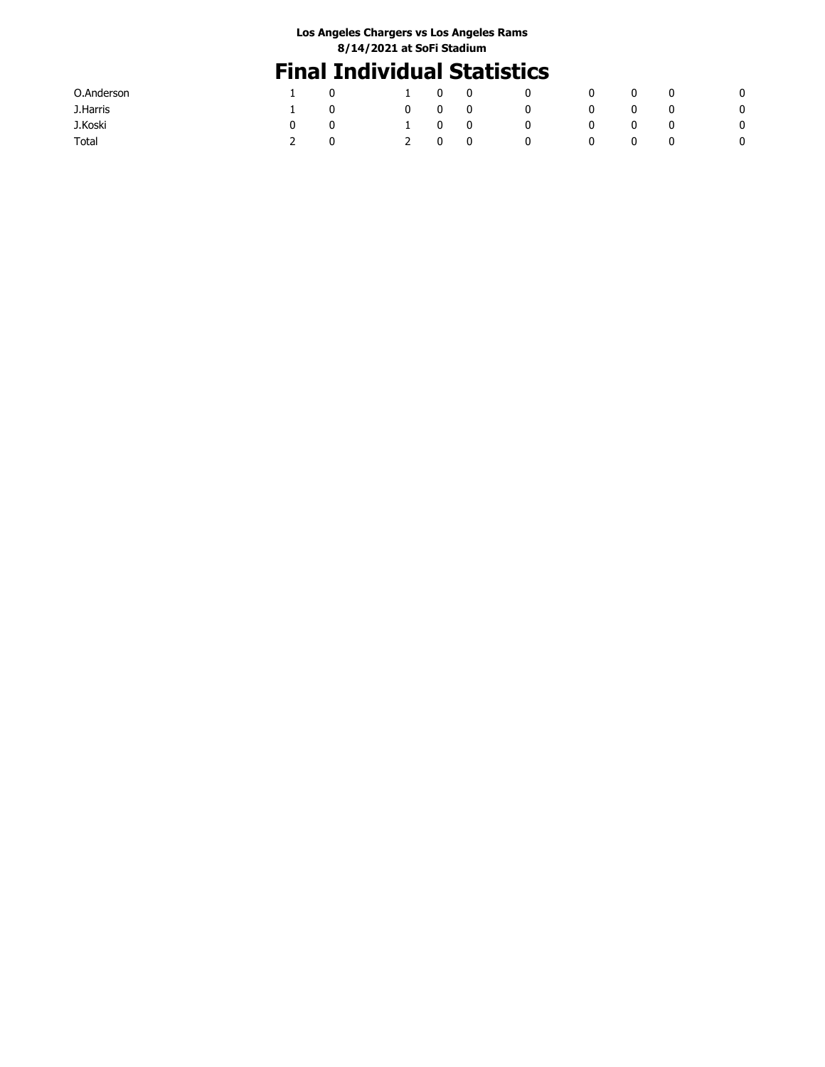# **Final Individual Statistics**

| O.Anderson |  |            | 0           | 0           | $\mathbf{0}$ | 0 | 0 | 0 | 0 |
|------------|--|------------|-------------|-------------|--------------|---|---|---|---|
| J.Harris   |  | 0          | 0           | $\mathbf 0$ | U            | 0 | 0 | U | 0 |
| J.Koski    |  |            | $\mathbf 0$ | $\mathbf 0$ | <b>U</b>     | 0 | 0 | U | 0 |
| Total      |  | $2^{\sim}$ | 0           | $\mathbf 0$ | U            | 0 | 0 | U | 0 |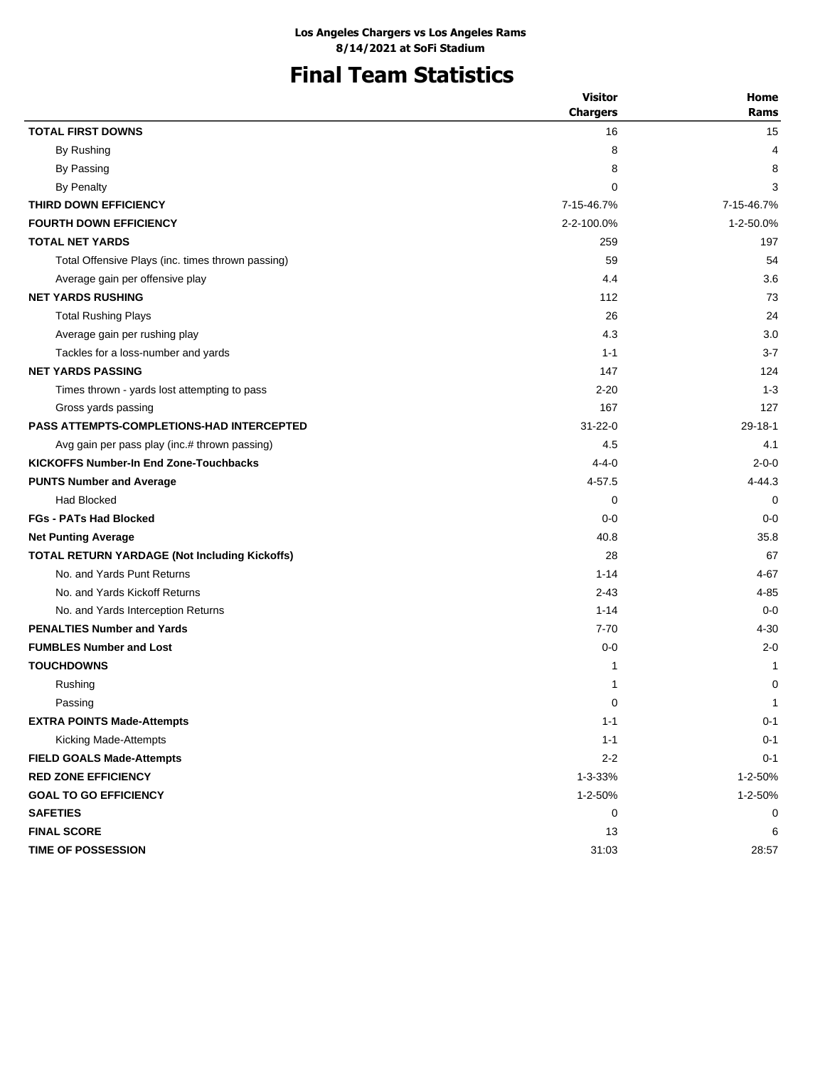# **Final Team Statistics**

|                                                   | <b>Visitor</b>  | Home          |
|---------------------------------------------------|-----------------|---------------|
|                                                   | <b>Chargers</b> | <b>Rams</b>   |
| <b>TOTAL FIRST DOWNS</b>                          | 16              | 15            |
| By Rushing                                        | 8               | 4             |
| By Passing                                        | 8               | 8             |
| By Penalty                                        | $\Omega$        | 3             |
| THIRD DOWN EFFICIENCY                             | 7-15-46.7%      | 7-15-46.7%    |
| <b>FOURTH DOWN EFFICIENCY</b>                     | 2-2-100.0%      | 1-2-50.0%     |
| <b>TOTAL NET YARDS</b>                            | 259             | 197           |
| Total Offensive Plays (inc. times thrown passing) | 59              | 54            |
| Average gain per offensive play                   | 4.4             | 3.6           |
| <b>NET YARDS RUSHING</b>                          | 112             | 73            |
| <b>Total Rushing Plays</b>                        | 26              | 24            |
| Average gain per rushing play                     | 4.3             | 3.0           |
| Tackles for a loss-number and yards               | $1 - 1$         | $3 - 7$       |
| <b>NET YARDS PASSING</b>                          | 147             | 124           |
| Times thrown - yards lost attempting to pass      | $2 - 20$        | $1 - 3$       |
| Gross yards passing                               | 167             | 127           |
| <b>PASS ATTEMPTS-COMPLETIONS-HAD INTERCEPTED</b>  | $31 - 22 - 0$   | $29 - 18 - 1$ |
| Avg gain per pass play (inc.# thrown passing)     | 4.5             | 4.1           |
| <b>KICKOFFS Number-In End Zone-Touchbacks</b>     | $4 - 4 - 0$     | $2 - 0 - 0$   |
| <b>PUNTS Number and Average</b>                   | 4-57.5          | 4-44.3        |
| <b>Had Blocked</b>                                | 0               | 0             |
| <b>FGs - PATs Had Blocked</b>                     | $0 - 0$         | $0 - 0$       |
| <b>Net Punting Average</b>                        | 40.8            | 35.8          |
| TOTAL RETURN YARDAGE (Not Including Kickoffs)     | 28              | 67            |
| No. and Yards Punt Returns                        | $1 - 14$        | 4-67          |
| No. and Yards Kickoff Returns                     | $2 - 43$        | $4 - 85$      |
| No. and Yards Interception Returns                | $1 - 14$        | $0 - 0$       |
| <b>PENALTIES Number and Yards</b>                 | $7 - 70$        | $4 - 30$      |
| <b>FUMBLES Number and Lost</b>                    | $0-0$           | $2 - 0$       |
| <b>TOUCHDOWNS</b>                                 | 1               | 1             |
| Rushing                                           | 1               | 0             |
| Passing                                           | 0               | $\mathbf{1}$  |
| <b>EXTRA POINTS Made-Attempts</b>                 | $1 - 1$         | $0 - 1$       |
| Kicking Made-Attempts                             | $1 - 1$         | $0 - 1$       |
| <b>FIELD GOALS Made-Attempts</b>                  | $2 - 2$         | $0 - 1$       |
| <b>RED ZONE EFFICIENCY</b>                        | 1-3-33%         | 1-2-50%       |
| <b>GOAL TO GO EFFICIENCY</b>                      | 1-2-50%         | 1-2-50%       |
| <b>SAFETIES</b>                                   | 0               | 0             |
| <b>FINAL SCORE</b>                                | 13              | 6             |
| TIME OF POSSESSION                                | 31:03           | 28:57         |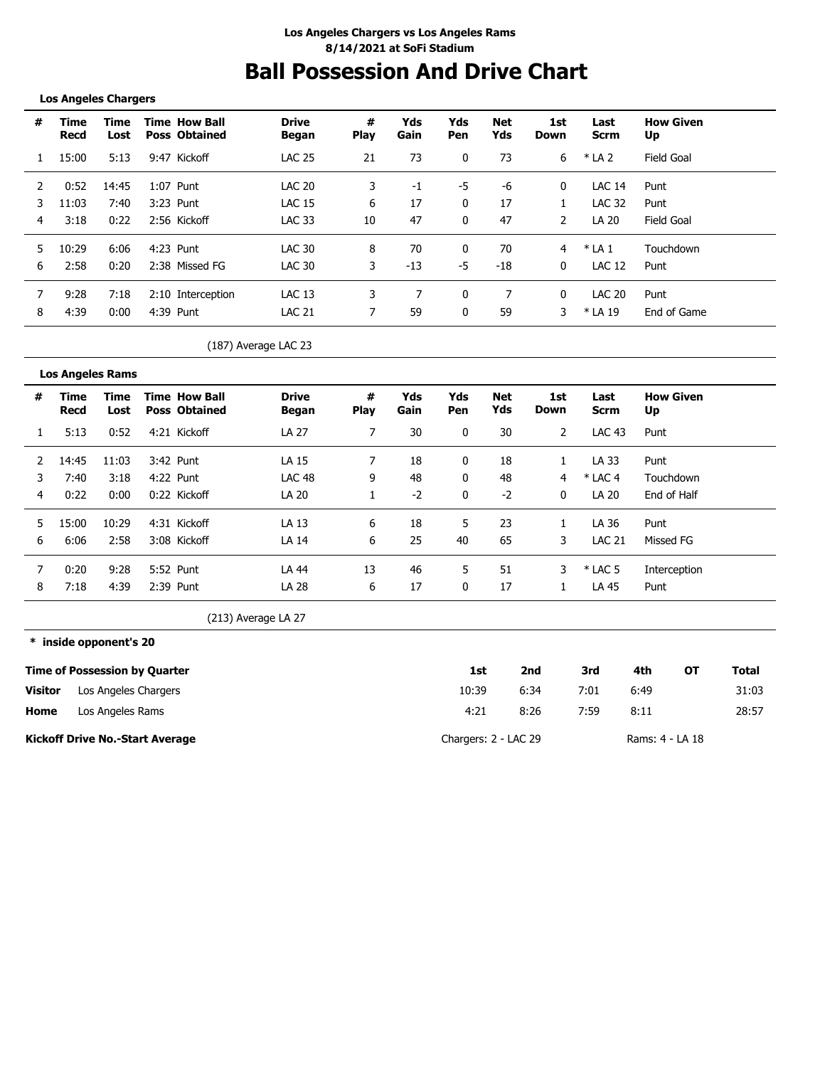# **Ball Possession And Drive Chart**

#### **Los Angeles Chargers**

**\* inside opponent's 20**

| #   | Time<br>Recd | Time<br>Lost | <b>Time How Ball</b><br><b>Poss Obtained</b> | <b>Drive</b><br>Began | #<br><b>Play</b> | Yds<br>Gain | Yds<br>Pen | <b>Net</b><br>Yds | 1st<br>Down | Last<br><b>Scrm</b> | <b>How Given</b><br>Up |
|-----|--------------|--------------|----------------------------------------------|-----------------------|------------------|-------------|------------|-------------------|-------------|---------------------|------------------------|
|     | 15:00        | 5:13         | 9:47 Kickoff                                 | <b>LAC 25</b>         | 21               | 73          | 0          | 73                | 6           | $*$ LA 2            | Field Goal             |
|     | 0:52         | 14:45        | 1:07<br>Punt                                 | <b>LAC 20</b>         | 3                | -1          | -5         | -6                | 0           | <b>LAC 14</b>       | Punt                   |
|     | 11:03        | 7:40         | 3:23 Punt                                    | <b>LAC 15</b>         | 6                | 17          | 0          | 17                |             | <b>LAC 32</b>       | Punt                   |
| 4   | 3:18         | 0:22         | 2:56 Kickoff                                 | <b>LAC 33</b>         | 10               | 47          | 0          | 47                | 2           | LA 20               | <b>Field Goal</b>      |
| .5. | 10:29        | 6:06         | 4:23 Punt                                    | LAC 30                | 8                | 70          | $\Omega$   | 70                | 4           | $*$ LA 1            | Touchdown              |
| 6   | 2:58         | 0:20         | 2:38 Missed FG                               | LAC 30                | 3                | -13         | -5         | $-18$             | 0           | LAC 12              | Punt                   |
|     | 9:28         | 7:18         | 2:10 Interception                            | <b>LAC 13</b>         | 3                |             | 0          |                   | 0           | <b>LAC 20</b>       | Punt                   |
| 8   | 4:39         | 0:00         | 4:39 Punt                                    | <b>LAC 21</b>         | 7                | 59          | 0          | 59                | 3           | * LA 19             | End of Game            |

(187) Average LAC 23

|    | <b>Los Angeles Rams</b> |              |                                              |                       |                  |             |                   |            |                |                     |                        |
|----|-------------------------|--------------|----------------------------------------------|-----------------------|------------------|-------------|-------------------|------------|----------------|---------------------|------------------------|
| #  | Time<br>Recd            | Time<br>Lost | <b>Time How Ball</b><br><b>Poss Obtained</b> | <b>Drive</b><br>Began | #<br><b>Play</b> | Yds<br>Gain | Yds<br><b>Pen</b> | Net<br>Yds | 1st<br>Down    | Last<br><b>Scrm</b> | <b>How Given</b><br>Up |
| 1  | 5:13                    | 0:52         | 4:21 Kickoff                                 | LA 27                 | 7                | 30          | 0                 | 30         | $\overline{2}$ | <b>LAC 43</b>       | Punt                   |
|    | 14:45                   | 11:03        | 3:42 Punt                                    | LA 15                 |                  | 18          | 0                 | 18         |                | LA 33               | Punt                   |
|    | 7:40                    | 3:18         | 4:22 Punt                                    | <b>LAC 48</b>         | 9                | 48          | 0                 | 48         | 4              | $*$ LAC 4           | Touchdown              |
| 4  | 0:22                    | 0:00         | 0:22 Kickoff                                 | LA 20                 |                  | $-2$        | 0                 | $-2$       | 0              | LA 20               | End of Half            |
| 5. | 15:00                   | 10:29        | 4:31 Kickoff                                 | LA 13                 | 6                | 18          | 5                 | 23         |                | LA 36               | Punt                   |
| 6  | 6:06                    | 2:58         | 3:08 Kickoff                                 | LA 14                 | 6                | 25          | 40                | 65         | 3              | <b>LAC 21</b>       | Missed FG              |
|    | 0:20                    | 9:28         | 5:52 Punt                                    | LA 44                 | 13               | 46          | 5.                | 51         | 3              | $*$ LAC 5           | Interception           |
| 8  | 7:18                    | 4:39         | 2:39 Punt                                    | LA 28                 | 6                | 17          | 0                 | 17         |                | LA 45               | Punt                   |

(213) Average LA 27

|         | <b>Time of Possession by Quarter</b>   | 1st                  | 2nd  | 3rd  | 4th             | ОT | Total |
|---------|----------------------------------------|----------------------|------|------|-----------------|----|-------|
| Visitor | Los Angeles Chargers                   | 10:39                | 6:34 | 7:01 | 6:49            |    | 31:03 |
| Home    | Los Angeles Rams                       | 4:21                 | 8:26 | 7:59 | 8:11            |    | 28:57 |
|         | <b>Kickoff Drive No.-Start Average</b> | Chargers: 2 - LAC 29 |      |      | Rams: 4 - LA 18 |    |       |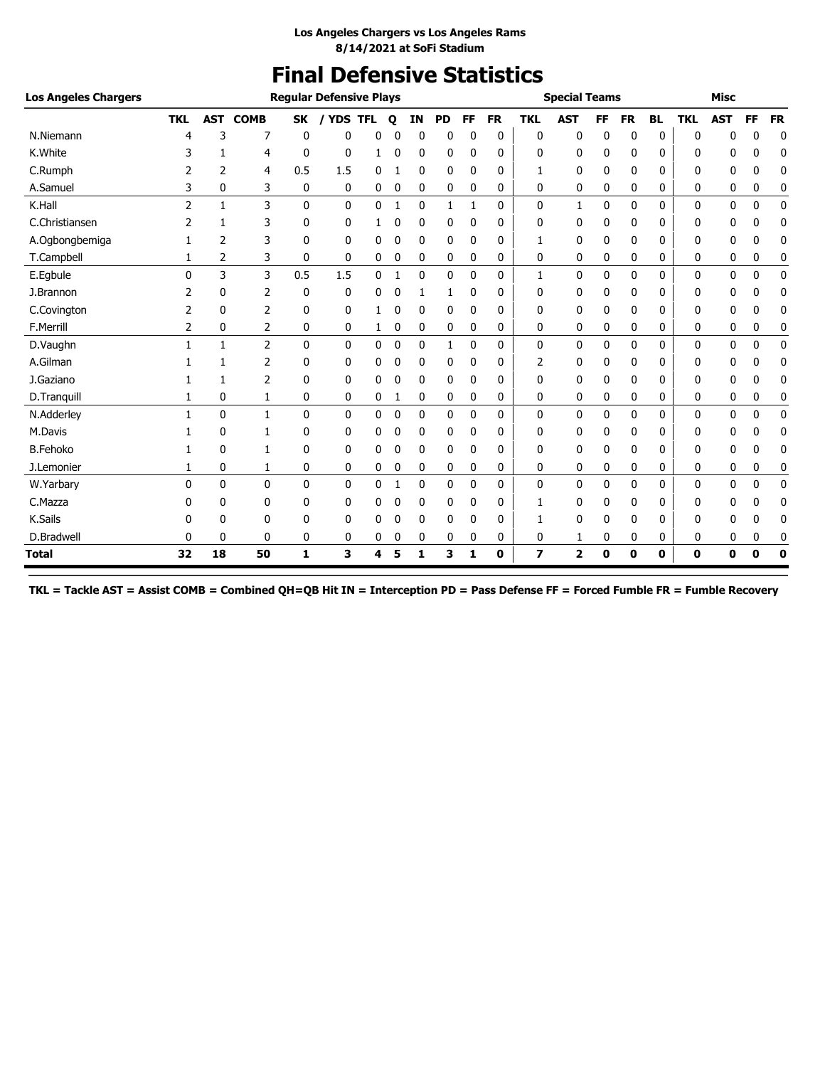# **Final Defensive Statistics**

| <b>Los Angeles Chargers</b> |                |                |                |              | <b>Reqular Defensive Plays</b> |              |             |              |              |              |              |            | <b>Special Teams</b> |             |              |           |              | <b>Misc</b> |              |           |
|-----------------------------|----------------|----------------|----------------|--------------|--------------------------------|--------------|-------------|--------------|--------------|--------------|--------------|------------|----------------------|-------------|--------------|-----------|--------------|-------------|--------------|-----------|
|                             | <b>TKL</b>     | AST            | <b>COMB</b>    | <b>SK</b>    | / YDS TFL                      |              | o           | IN           | <b>PD</b>    | <b>FF</b>    | <b>FR</b>    | <b>TKL</b> | <b>AST</b>           | <b>FF</b>   | <b>FR</b>    | <b>BL</b> | <b>TKL</b>   | <b>AST</b>  | FF           | <b>FR</b> |
| N.Niemann                   | 4              | 3              | 7              | 0            | 0                              | 0            |             | $\mathbf{0}$ | 0            | 0            | 0            | 0          | 0                    | $\mathbf 0$ | 0            | 0         | 0            | 0           | 0            | 0         |
| K.White                     |                |                | 4              | 0            | 0                              |              | 0           | 0            | 0            | 0            | 0            | 0          | 0                    | 0           | 0            | 0         | 0            | 0           | 0            | 0         |
| C.Rumph                     | 2              | 2              | 4              | 0.5          | 1.5                            | 0            |             | $\mathbf{0}$ | 0            | 0            | 0            | 1          | 0                    | 0           | 0            | 0         | 0            | 0           | 0            | 0         |
| A.Samuel                    | 3              | 0              | 3              | 0            | 0                              | 0            | 0           | 0            | 0            | 0            | 0            | 0          | 0                    | 0           | 0            | 0         | 0            | 0           | 0            | 0         |
| K.Hall                      | $\overline{2}$ | $\mathbf{1}$   | 3              | $\mathbf{0}$ | $\mathbf{0}$                   | 0            | 1           | $\mathbf{0}$ | 1            | 1            | $\mathbf{0}$ | 0          | $\mathbf{1}$         | 0           | $\mathbf{0}$ | 0         | $\mathbf{0}$ | $\Omega$    | $\mathbf{0}$ | 0         |
| C.Christiansen              |                |                | 3              | 0            | 0                              |              | 0           | 0            | 0            | 0            | 0            | 0          | 0                    | 0           | 0            | 0         | 0            | 0           | 0            | 0         |
| A.Ogbongbemiga              |                | 2              | 3              | 0            | 0                              | 0            | 0           | 0            | 0            | 0            | 0            | 1          | 0                    | 0           | 0            | 0         | 0            | 0           | 0            | 0         |
| T.Campbell                  |                | $\overline{2}$ | 3              | 0            | 0                              | 0            | 0           | 0            | 0            | 0            | 0            | 0          | 0                    | 0           | 0            | 0         | 0            | 0           | 0            | 0         |
| E.Egbule                    | $\Omega$       | 3              | 3              | 0.5          | 1.5                            | 0            | 1           | 0            | 0            | 0            | 0            | 1          | 0                    | 0           | 0            | 0         | 0            | 0           | 0            | 0         |
| J.Brannon                   |                | 0              | 2              | 0            | 0                              | 0            | 0           |              | 1            | 0            | 0            | 0          | 0                    | 0           | 0            | 0         | 0            | 0           | 0            | 0         |
| C.Covington                 | 2              | $\mathbf{0}$   | 2              | 0            | 0                              | 1            | 0           | 0            | 0            | 0            | 0            | 0          | 0                    | 0           | 0            | 0         | 0            | 0           | 0            | 0         |
| F.Merrill                   | 2              | 0              | 2              | 0            | 0                              | 1            | 0           | 0            | 0            | 0            | 0            | 0          | 0                    | 0           | 0            | 0         | 0            | 0           | 0            | 0         |
| D.Vaughn                    |                | 1              | $\overline{2}$ | 0            | $\mathbf{0}$                   | 0            | $\mathbf 0$ | 0            | 1            | 0            | 0            | 0          | 0                    | 0           | $\mathbf{0}$ | 0         | $\mathbf{0}$ | 0           | $\mathbf{0}$ | 0         |
| A.Gilman                    |                | 1              | 2              | 0            | 0                              | 0            | 0           | 0            | 0            | 0            | 0            | 2          | 0                    | 0           | 0            | 0         | 0            | 0           | 0            | 0         |
| J.Gaziano                   |                | 1              | 2              | 0            | 0                              | 0            | 0           | 0            | 0            | $\mathbf{0}$ | 0            | 0          | 0                    | 0           | 0            | 0         | 0            | 0           | 0            | 0         |
| D.Tranquill                 | 1              | 0              | 1              | 0            | 0                              | 0            | 1           | 0            | 0            | 0            | 0            | 0          | 0                    | 0           | 0            | 0         | 0            | 0           | 0            | 0         |
| N.Adderley                  | 1              | $\mathbf{0}$   | $\mathbf{1}$   | $\mathbf{0}$ | 0                              | 0            | 0           | 0            | 0            | 0            | 0            | 0          | 0                    | 0           | 0            | 0         | 0            | 0           | 0            | 0         |
| M.Davis                     |                | $\mathbf{0}$   | 1              | 0            | 0                              | 0            | 0           | 0            | 0            | 0            | 0            | 0          | 0                    | 0           | 0            | 0         | 0            | 0           | 0            | 0         |
| <b>B.Fehoko</b>             |                | $\mathbf{0}$   | 1              | 0            | $\mathbf{0}$                   | 0            | 0           | 0            | 0            | $\mathbf{0}$ | 0            | 0          | 0                    | 0           | 0            | 0         | 0            | 0           | 0            | 0         |
| J.Lemonier                  | 1              | 0              | 1              | 0            | 0                              | 0            | 0           | 0            | 0            | 0            | 0            | 0          | 0                    | 0           | 0            | 0         | 0            | 0           | 0            | 0         |
| W.Yarbary                   | $\Omega$       | $\mathbf{0}$   | $\Omega$       | $\mathbf{0}$ | $\mathbf{0}$                   | $\mathbf{0}$ | 1           | 0            | $\mathbf{0}$ | $\mathbf{0}$ | 0            | 0          | 0                    | 0           | $\mathbf{0}$ | 0         | $\mathbf{0}$ | 0           | 0            | 0         |
| C.Mazza                     | 0              | $\mathbf{0}$   | $\mathbf{0}$   | 0            | $\mathbf{0}$                   | 0            | 0           | $\mathbf{0}$ | 0            | 0            | 0            | 1          | 0                    | 0           | 0            | 0         | 0            | 0           | 0            | 0         |
| K.Sails                     | 0              | 0              | 0              | 0            | 0                              | 0            | 0           | 0            | 0            | 0            | 0            | 1          | 0                    | 0           | 0            | 0         | 0            | 0           | 0            | 0         |
| D.Bradwell                  | 0              | 0              | 0              | 0            | 0                              | 0            | 0           | 0            | 0            | 0            | 0            | 0          | 1                    | 0           | 0            | 0         | 0            | 0           | 0            | 0         |
| Total                       | 32             | 18             | 50             | 1            | 3                              | 4            | 5           | 1            | 3            | 1            | O            | 7          | $\overline{2}$       | 0           | $\mathbf{0}$ | 0         | $\mathbf 0$  | 0           | $\mathbf 0$  | 0         |

**TKL = Tackle AST = Assist COMB = Combined QH=QB Hit IN = Interception PD = Pass Defense FF = Forced Fumble FR = Fumble Recovery**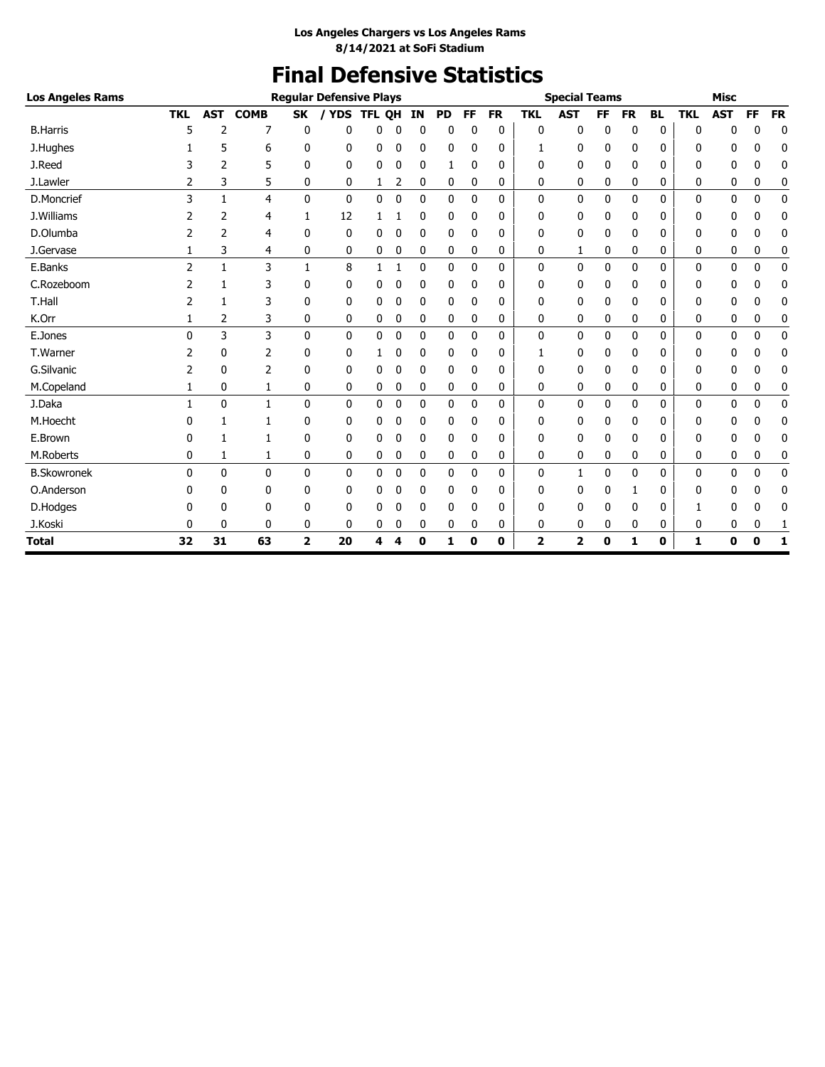# **Final Defensive Statistics**

| <b>Los Angeles Rams</b> |              |              |              |                | <b>Regular Defensive Plays</b> |               |             |             |              |              |           |                | <b>Special Teams</b> |           |           |             |              | <b>Misc</b>  |              |              |
|-------------------------|--------------|--------------|--------------|----------------|--------------------------------|---------------|-------------|-------------|--------------|--------------|-----------|----------------|----------------------|-----------|-----------|-------------|--------------|--------------|--------------|--------------|
|                         | <b>TKL</b>   | <b>AST</b>   | <b>COMB</b>  | SK             | <b>YDS</b>                     | <b>TFL OH</b> |             | IN          | <b>PD</b>    | <b>FF</b>    | <b>FR</b> | <b>TKL</b>     | <b>AST</b>           | <b>FF</b> | <b>FR</b> | <b>BL</b>   | <b>TKL</b>   | <b>AST</b>   | <b>FF</b>    | <b>FR</b>    |
| <b>B.Harris</b>         | 5            | 2            | 7            | 0              | 0                              | 0             | 0           | 0           | 0            | 0            | 0         | 0              | 0                    | 0         | 0         | 0           | $\Omega$     | 0            | n            | 0            |
| J.Hughes                |              | 5            | 6            | 0              | 0                              | 0             | 0           | 0           | 0            | 0            | 0         | 1              | 0                    | 0         | 0         | 0           | 0            | 0            | 0            | 0            |
| J.Reed                  |              | 2            | 5            | 0              | 0                              | 0             | 0           | 0           | 1            | 0            | 0         | 0              | 0                    | 0         | 0         | 0           | 0            | 0            | 0            | 0            |
| J.Lawler                | 2            | 3            | 5            | 0              | 0                              | 1             | 2           | 0           | 0            | 0            | 0         | 0              | 0                    | 0         | 0         | 0           | 0            | 0            | 0            | 0            |
| D.Moncrief              | 3            | $\mathbf{1}$ | 4            | 0              | $\mathbf{0}$                   | 0             | 0           | 0           | 0            | 0            | 0         | 0              | 0                    | 0         | 0         | 0           | $\mathbf{0}$ | 0            | 0            | 0            |
| J.Williams              | 2            | 2            | 4            | 1              | 12                             | 1             |             | 0           | 0            | 0            | 0         | 0              | 0                    | 0         | 0         | 0           | 0            | 0            | 0            | 0            |
| D.Olumba                |              | 2            | 4            | 0              | $\mathbf{0}$                   | 0             | 0           | 0           | 0            | 0            | 0         | 0              | 0                    | 0         | 0         | 0           | 0            | 0            | 0            | 0            |
| J.Gervase               |              | 3            | 4            | 0              | 0                              | 0             | 0           | 0           | 0            | 0            | 0         | 0              | 1                    | 0         | 0         | 0           | 0            | 0            | 0            | 0            |
| E.Banks                 | 2            | $\mathbf{1}$ | 3            | 1              | 8                              | 1             | 1           | 0           | 0            | 0            | 0         | 0              | 0                    | 0         | 0         | 0           | $\mathbf{0}$ | 0            | 0            | $\mathbf 0$  |
| C.Rozeboom              |              |              | 3            | 0              | 0                              | 0             | 0           | 0           | 0            | 0            | 0         | 0              | 0                    | 0         | 0         | 0           | 0            | 0            | 0            | 0            |
| T.Hall                  | 2            |              | 3            | 0              | 0                              | 0             | 0           | 0           | 0            | 0            | 0         | 0              | 0                    | 0         | 0         | 0           | 0            | 0            | 0            | 0            |
| K.Orr                   |              | 2            | 3            | 0              | 0                              | 0             | 0           | 0           | 0            | 0            | 0         | 0              | 0                    | 0         | 0         | 0           | 0            | 0            | 0            | 0            |
| E.Jones                 | <sup>0</sup> | 3            | 3            | $\mathbf{0}$   | 0                              | $\mathbf 0$   | $\mathbf 0$ | 0           | 0            | 0            | 0         | 0              | $\mathbf{0}$         | 0         | 0         | 0           | $\mathbf{0}$ | 0            | $\mathbf 0$  | $\mathbf 0$  |
| T.Warner                |              | $\mathbf{0}$ | 2            | 0              | 0                              | 1             | 0           | 0           | 0            | 0            | 0         | 1              | 0                    | 0         | 0         | 0           | 0            | 0            | 0            | 0            |
| G.Silvanic              |              | 0            | 2            | 0              | 0                              | 0             | 0           | 0           | 0            | 0            | 0         | 0              | 0                    | 0         | 0         | 0           | 0            | 0            | 0            | 0            |
| M.Copeland              |              | 0            | 1            | 0              | 0                              | 0             | 0           | 0           | 0            | 0            | 0         | 0              | 0                    | 0         | 0         | 0           | 0            | 0            | 0            | 0            |
| J.Daka                  |              | $\mathbf{0}$ | $\mathbf{1}$ | $\mathbf{0}$   | 0                              | 0             | $\mathbf 0$ | $\Omega$    | $\mathbf{0}$ | $\mathbf{0}$ | 0         | 0              | 0                    | 0         | 0         | 0           | $\mathbf{0}$ | 0            | $\mathbf{0}$ | $\mathbf 0$  |
| M.Hoecht                |              | 1            | 1            | 0              | 0                              | 0             | 0           | 0           | 0            | 0            | 0         | 0              | 0                    | 0         | 0         | 0           | 0            | 0            | 0            | 0            |
| E.Brown                 | 0            |              |              | 0              | 0                              | 0             | 0           | 0           | 0            | 0            | 0         | 0              | 0                    | 0         | 0         | 0           | 0            | 0            | 0            | 0            |
| M.Roberts               | 0            | 1            | 1            | 0              | 0                              | 0             | 0           | 0           | 0            | 0            | 0         | 0              | 0                    | 0         | 0         | 0           | 0            | 0            | 0            | 0            |
| <b>B.Skowronek</b>      | 0            | $\mathbf{0}$ | $\mathbf{0}$ | $\mathbf{0}$   | 0                              | 0             | $\mathbf 0$ | 0           | $\mathbf{0}$ | 0            | 0         | 0              | $\mathbf{1}$         | 0         | 0         | 0           | 0            | 0            | $\mathbf 0$  | 0            |
| O.Anderson              | O            | 0            | 0            | 0              | 0                              | 0             | 0           | 0           | 0            | 0            | 0         | $\Omega$       | 0                    | 0         | 1         | 0           | 0            | 0            |              | 0            |
| D.Hodges                |              | 0            | 0            | 0              | 0                              | 0             | 0           | 0           | 0            | 0            | 0         | 0              | 0                    | 0         | 0         | 0           |              | 0            | 0            | 0            |
| J.Koski                 | 0            | 0            | 0            | 0              | 0                              | 0             | 0           | 0           | 0            | 0            | 0         | 0              | 0                    | 0         | 0         | 0           | 0            | 0            | 0            |              |
| <b>Total</b>            | 32           | 31           | 63           | $\overline{2}$ | 20                             | 4             | 4           | $\mathbf 0$ | 1            | 0            | O         | $\overline{2}$ | $\overline{2}$       | 0         | 1         | $\mathbf 0$ | 1            | $\mathbf{0}$ | $\mathbf 0$  | $\mathbf{1}$ |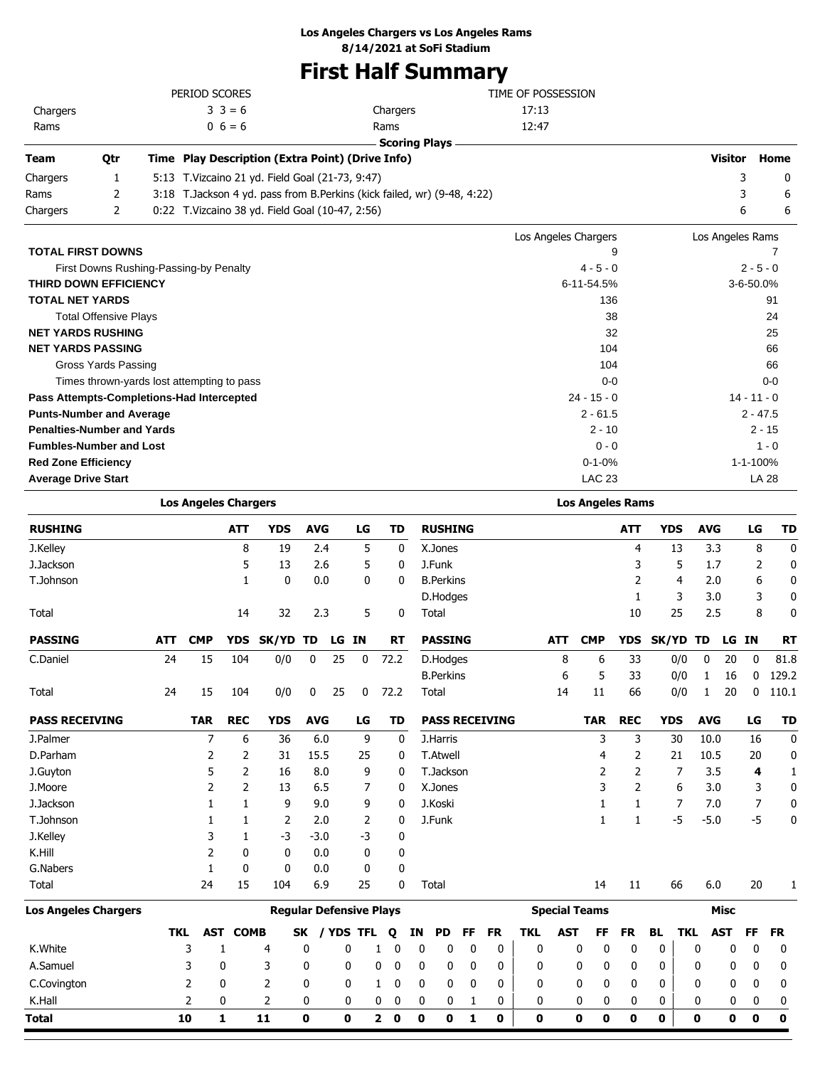# **First Half Summary**

| 'eam     | Otr | Time Play Description (Extra Point) (Drive Info) |                 |                    |
|----------|-----|--------------------------------------------------|-----------------|--------------------|
|          |     |                                                  | Scoring Plays - |                    |
| Rams     |     | $0.6 = 6$                                        | Rams            | 12:47              |
| Chargers |     | $3 \; 3 = 6$                                     | Chargers        | 17:13              |
|          |     | PERIOD SCORES                                    |                 | TIME OF POSSESSION |
|          |     |                                                  |                 |                    |

| Team     | 0tr | Time Play Description (Extra Point) (Drive Info)                          | Visitor | Home |
|----------|-----|---------------------------------------------------------------------------|---------|------|
| Chargers |     | 5:13 T.Vizcaino 21 yd. Field Goal (21-73, 9:47)                           |         |      |
| Rams     |     | 3:18 T. Jackson 4 yd. pass from B. Perkins (kick failed, wr) (9-48, 4:22) |         |      |
| Chargers |     | 0:22 T. Vizcaino 38 yd. Field Goal (10-47, 2:56)                          |         |      |

|                                            | Los Angeles Chargers | Los Angeles Rams |
|--------------------------------------------|----------------------|------------------|
| <b>TOTAL FIRST DOWNS</b>                   | 9                    |                  |
| First Downs Rushing-Passing-by Penalty     | $4 - 5 - 0$          | $2 - 5 - 0$      |
| <b>THIRD DOWN EFFICIENCY</b>               | 6-11-54.5%           | $3 - 6 - 50.0%$  |
| <b>TOTAL NET YARDS</b>                     | 136                  | 91               |
| <b>Total Offensive Plays</b>               | 38                   | 24               |
| <b>NET YARDS RUSHING</b>                   | 32                   | 25               |
| <b>NET YARDS PASSING</b>                   | 104                  | 66               |
| Gross Yards Passing                        | 104                  | 66               |
| Times thrown-yards lost attempting to pass | $0-0$                | $0-0$            |
| Pass Attempts-Completions-Had Intercepted  | $24 - 15 - 0$        | $14 - 11 - 0$    |
| <b>Punts-Number and Average</b>            | $2 - 61.5$           | $2 - 47.5$       |
| <b>Penalties-Number and Yards</b>          | $2 - 10$             | $2 - 15$         |
| <b>Fumbles-Number and Lost</b>             | $0 - 0$              | $1 - 0$          |
| <b>Red Zone Efficiency</b>                 | $0 - 1 - 0%$         | 1-1-100%         |
| <b>Average Drive Start</b>                 | <b>LAC 23</b>        | LA 28            |

|                             |            | <b>Los Angeles Chargers</b> |              |                                |            |             |           | <b>Los Angeles Rams</b>     |    |                       |           |           |              |            |                      |                |             |            |             |           |              |
|-----------------------------|------------|-----------------------------|--------------|--------------------------------|------------|-------------|-----------|-----------------------------|----|-----------------------|-----------|-----------|--------------|------------|----------------------|----------------|-------------|------------|-------------|-----------|--------------|
| <b>RUSHING</b>              |            |                             | <b>ATT</b>   | <b>YDS</b>                     | <b>AVG</b> |             | LG        | TD                          |    | <b>RUSHING</b>        |           |           |              |            |                      | <b>ATT</b>     | <b>YDS</b>  |            | <b>AVG</b>  | LG        | <b>TD</b>    |
| J.Kelley                    |            |                             | 8            | 19                             | 2.4        |             | 5         |                             | 0  | X.Jones               |           |           |              |            |                      | 4              | 13          |            | 3.3         | 8         | 0            |
| J.Jackson                   |            |                             | 5            | 13                             | 2.6        |             | 5         |                             | 0  | J.Funk                |           |           |              |            |                      | 3              | 5           |            | 1.7         | 2         | 0            |
| T.Johnson                   |            |                             | 1            | 0                              | 0.0        |             | 0         |                             | 0  | <b>B.Perkins</b>      |           |           |              |            |                      | 2              | 4           |            | 2.0         | 6         | 0            |
|                             |            |                             |              |                                |            |             |           |                             |    | D.Hodges              |           |           |              |            |                      | $\mathbf{1}$   | 3           |            | 3.0         | 3         | 0            |
| Total                       |            |                             | 14           | 32                             | 2.3        |             | 5         |                             | 0  | Total                 |           |           |              |            |                      | 10             | 25          |            | 2.5         | 8         | 0            |
| <b>PASSING</b>              | <b>ATT</b> | <b>CMP</b>                  | <b>YDS</b>   | SK/YD                          | TD         | LG IN       |           | <b>RT</b>                   |    | <b>PASSING</b>        |           |           |              | <b>ATT</b> | <b>CMP</b>           | <b>YDS</b>     | SK/YD TD    |            |             | LG IN     | <b>RT</b>    |
| C.Daniel                    | 24         | 15                          | 104          | 0/0                            | 0          | 25          | 0         | 72.2                        |    | D.Hodges              |           |           |              | 8          | 6                    | 33             | 0/0         | 0          | 20          | 0         | 81.8         |
|                             |            |                             |              |                                |            |             |           |                             |    | <b>B.Perkins</b>      |           |           |              | 6          | 5                    | 33             | 0/0         | 1          | 16          | 0         | 129.2        |
| Total                       | 24         | 15                          | 104          | 0/0                            | 0          | 25          | 0         | 72.2                        |    | Total                 |           |           |              | 14         | 11                   | 66             | 0/0         | 1          | 20          | 0         | 110.1        |
| <b>PASS RECEIVING</b>       |            | <b>TAR</b>                  | <b>REC</b>   | <b>YDS</b>                     | <b>AVG</b> |             | LG        | TD                          |    | <b>PASS RECEIVING</b> |           |           |              |            | <b>TAR</b>           | <b>REC</b>     | <b>YDS</b>  |            | <b>AVG</b>  | LG        | <b>TD</b>    |
| J.Palmer                    |            | 7                           | 6            | 36                             | 6.0        |             | 9         |                             | 0  | J.Harris              |           |           |              |            | 3                    | 3              | 30          |            | 10.0        | 16        | 0            |
| D.Parham                    |            | 2                           | 2            | 31                             | 15.5       |             | 25        |                             | 0  | <b>T.Atwell</b>       |           |           |              |            | 4                    | 2              | 21          |            | 10.5        | 20        | 0            |
| J.Guyton                    |            | 5                           | 2            | 16                             | 8.0        |             | 9         |                             | 0  | T.Jackson             |           |           |              |            | 2                    | 2              | 7           |            | 3.5         | 4         | $\mathbf{1}$ |
| J.Moore                     |            | 2                           | 2            | 13                             | 6.5        |             | 7         |                             | 0  | X.Jones               |           |           |              |            | 3                    | $\overline{2}$ | 6           |            | 3.0         | 3         | 0            |
| J.Jackson                   |            | 1                           | 1            | 9                              | 9.0        |             | 9         |                             | 0  | J.Koski               |           |           |              |            | 1                    | 1              | 7           |            | 7.0         | 7         | 0            |
| T.Johnson                   |            | 1                           | 1            | 2                              | 2.0        |             | 2         |                             | 0  | J.Funk                |           |           |              |            | 1                    | 1              | $-5$        |            | $-5.0$      | $-5$      | 0            |
| J.Kelley                    |            | 3                           | $\mathbf{1}$ | $-3$                           | $-3.0$     |             | -3        |                             | 0  |                       |           |           |              |            |                      |                |             |            |             |           |              |
| K.Hill                      |            | 2                           | 0            | 0                              | 0.0        |             | 0         |                             | 0  |                       |           |           |              |            |                      |                |             |            |             |           |              |
| G.Nabers                    |            | 1                           | 0            | 0                              | 0.0        |             | 0         |                             | 0  |                       |           |           |              |            |                      |                |             |            |             |           |              |
| Total                       |            | 24                          | 15           | 104                            | 6.9        |             | 25        |                             | 0  | Total                 |           |           |              |            | 14                   | 11             | 66          |            | 6.0         | 20        | 1            |
| <b>Los Angeles Chargers</b> |            |                             |              | <b>Regular Defensive Plays</b> |            |             |           |                             |    |                       |           |           |              |            | <b>Special Teams</b> |                |             |            | <b>Misc</b> |           |              |
|                             | <b>TKL</b> | AST                         | <b>COMB</b>  |                                | <b>SK</b>  |             | / YDS TFL | o                           | ΙN | <b>PD</b>             | <b>FF</b> | <b>FR</b> | <b>TKL</b>   | <b>AST</b> | FF                   | <b>FR</b>      | <b>BL</b>   | <b>TKL</b> | <b>AST</b>  | <b>FF</b> | <b>FR</b>    |
| K.White                     |            | 3                           | 1            | 4                              | 0          |             | 0         | 0<br>1                      |    | 0<br>0                | 0         | 0         | 0            |            | 0<br>0               | 0              | 0           | 0          | 0           | 0         | 0            |
| A.Samuel                    |            | 3                           | 0            | 3                              | 0          |             | 0         | 0<br>0                      |    | 0<br>0                | 0         | 0         | 0            |            | 0<br>0               | 0              | 0           | 0          | 0           | 0         | 0            |
| C.Covington                 |            | 2                           | 0            | 2                              | 0          |             | 0         | 0<br>$\mathbf{1}$           |    | 0<br>0                | 0         | 0         | 0            |            | 0<br>0               | 0              | 0           | 0          | 0           | 0         | 0            |
| K.Hall                      |            | $\overline{2}$              | 0            | $\overline{2}$                 | 0          |             | 0         | 0<br>0                      |    | 0<br>0                | 1         | 0         | 0            |            | 0<br>0               | 0              | 0           | 0          | 0           | 0         | 0            |
| Total                       |            | 10                          | $\mathbf{1}$ | 11                             | $\bf{0}$   | $\mathbf 0$ |           | $\mathbf{2}$<br>$\mathbf 0$ |    | $\bf{0}$<br>0         | 1         | 0         | $\mathbf{0}$ |            | $\mathbf{0}$<br>0    | 0              | $\mathbf 0$ | 0          | 0           | 0         | $\mathbf 0$  |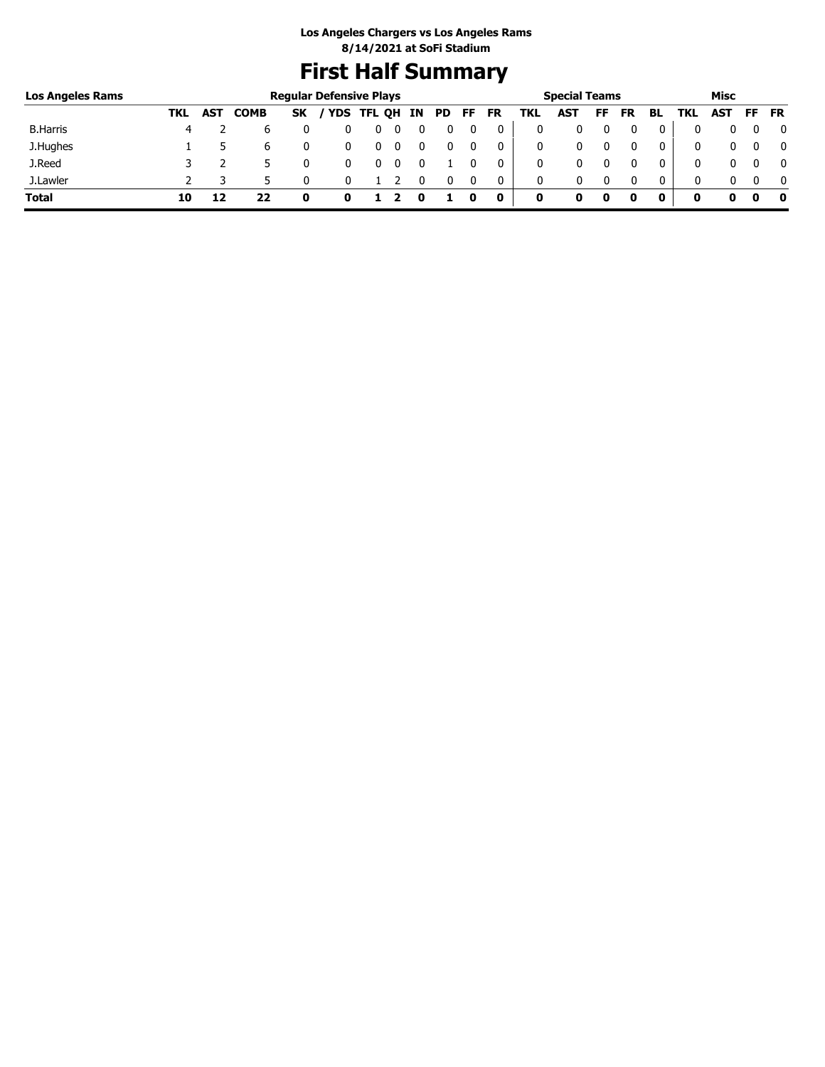# **First Half Summary**

| <b>Los Angeles Rams</b> |     |            |             |           | <b>Regular Defensive Plays</b> |                   |    |     |    |             |     | <b>Special Teams</b> |    |           |    |      | Misc |     |           |
|-------------------------|-----|------------|-------------|-----------|--------------------------------|-------------------|----|-----|----|-------------|-----|----------------------|----|-----------|----|------|------|-----|-----------|
|                         | TKL | <b>AST</b> | <b>COMB</b> | <b>SK</b> |                                | <b>YDS TFL QH</b> | IN | PD. | FF | <b>FR</b>   | TKL | <b>AST</b>           | FF | <b>FR</b> | BL | TKL. | AST  | FF. | <b>FR</b> |
| <b>B.Harris</b>         | 4   |            | b           |           |                                | U                 |    |     |    |             | 0   |                      |    |           | 0  |      |      |     | 0         |
| J.Hughes                |     |            | h           |           |                                | U                 |    |     |    | 0           | 0   |                      |    |           | 0  |      |      |     | 0         |
| J.Reed                  |     |            |             |           |                                |                   |    |     |    |             | 0   |                      |    |           | 0  |      |      |     | 0         |
| J.Lawler                |     |            |             |           |                                |                   |    |     |    | 0           | 0   | 0                    |    |           | 0  |      |      |     | 0         |
| <b>Total</b>            | 10  |            |             | O         |                                |                   |    |     |    | $\mathbf 0$ | 0   | o                    | 0  |           |    | o    | o    |     | 0         |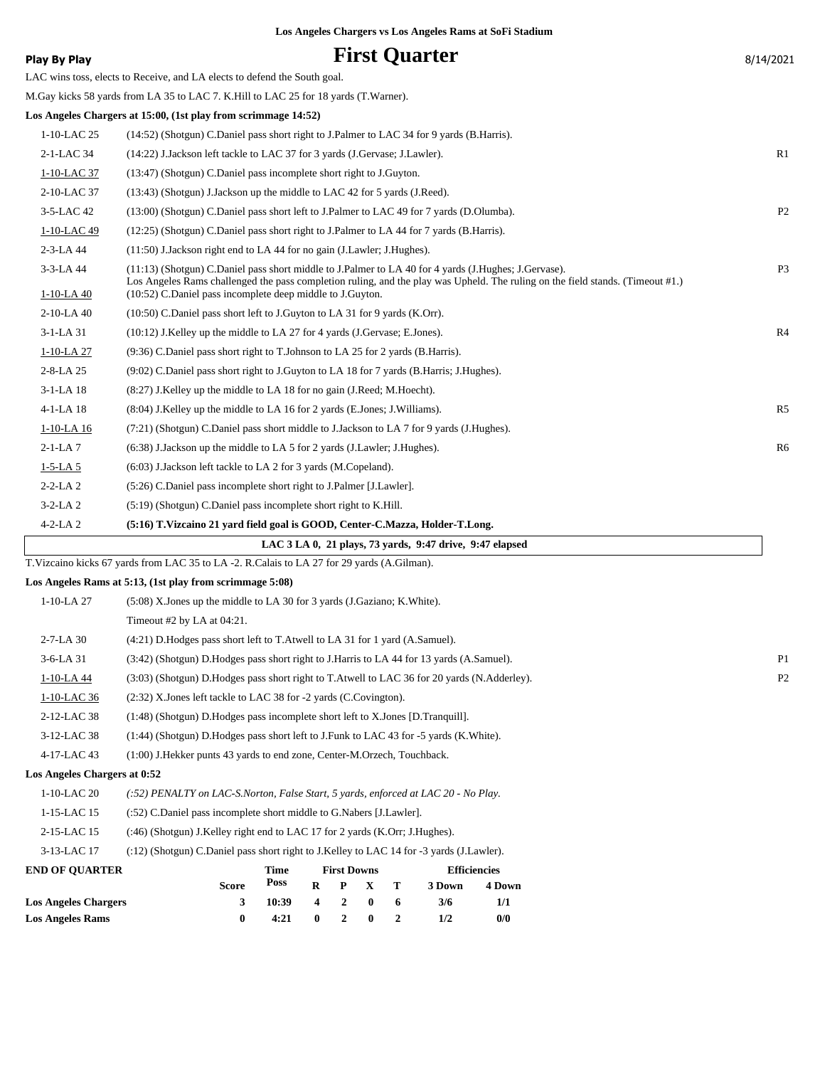| Play By Play                                                                        | <b>First Quarter</b> | 8/14/2021 |
|-------------------------------------------------------------------------------------|----------------------|-----------|
| LAC wins toss, elects to Receive, and LA elects to defend the South goal.           |                      |           |
| M.Gay kicks 58 yards from LA 35 to LAC 7. K.Hill to LAC 25 for 18 yards (T.Warner). |                      |           |
| Los Angeles Chargers at 15:00, (1st play from scrimmage 14:52)                      |                      |           |

|                 | Los Angeles Chargers at 15:00, (1st play from scrimmage 14:52)                                                                                                                                                                         |                |
|-----------------|----------------------------------------------------------------------------------------------------------------------------------------------------------------------------------------------------------------------------------------|----------------|
| 1-10-LAC 25     | (14:52) (Shotgun) C.Daniel pass short right to J.Palmer to LAC 34 for 9 yards (B.Harris).                                                                                                                                              |                |
| $2-1-LAC$ 34    | (14:22) J.Jackson left tackle to LAC 37 for 3 yards (J.Gervase; J.Lawler).                                                                                                                                                             | R <sub>1</sub> |
| 1-10-LAC 37     | (13:47) (Shotgun) C.Daniel pass incomplete short right to J.Guyton.                                                                                                                                                                    |                |
| 2-10-LAC 37     | (13:43) (Shotgun) J.Jackson up the middle to LAC 42 for 5 yards (J.Reed).                                                                                                                                                              |                |
| 3-5-LAC 42      | (13:00) (Shotgun) C.Daniel pass short left to J.Palmer to LAC 49 for 7 yards (D.Olumba).                                                                                                                                               | P <sub>2</sub> |
| 1-10-LAC 49     | (12:25) (Shotgun) C.Daniel pass short right to J.Palmer to LA 44 for 7 yards (B.Harris).                                                                                                                                               |                |
| 2-3-LA 44       | (11:50) J.Jackson right end to LA 44 for no gain (J.Lawler; J.Hughes).                                                                                                                                                                 |                |
| 3-3-LA 44       | (11:13) (Shotgun) C.Daniel pass short middle to J.Palmer to LA 40 for 4 yards (J.Hughes; J.Gervase).<br>Los Angeles Rams challenged the pass completion ruling, and the play was Upheld. The ruling on the field stands. (Timeout #1.) | P <sub>3</sub> |
| $1-10-LA$ 40    | (10:52) C.Daniel pass incomplete deep middle to J.Guyton.                                                                                                                                                                              |                |
| 2-10-LA 40      | (10:50) C.Daniel pass short left to J.Guyton to LA 31 for 9 yards (K.Orr).                                                                                                                                                             |                |
| $3 - 1 - LA$ 31 | (10:12) J.Kelley up the middle to LA 27 for 4 yards (J.Gervase; E.Jones).                                                                                                                                                              | R <sub>4</sub> |
| $1-10-LA$ 27    | (9:36) C.Daniel pass short right to T.Johnson to LA 25 for 2 yards (B.Harris).                                                                                                                                                         |                |
| 2-8-LA 25       | (9.02) C.Daniel pass short right to J.Guyton to LA 18 for 7 yards (B.Harris; J.Hughes).                                                                                                                                                |                |
| $3-1-LA$ 18     | (8:27) J.Kelley up the middle to LA 18 for no gain (J.Reed; M.Hoecht).                                                                                                                                                                 |                |
| $4 - 1 - LA$ 18 | (8:04) J.Kelley up the middle to LA 16 for 2 yards (E.Jones; J.Williams).                                                                                                                                                              | R <sub>5</sub> |
| $1-10-LA$ 16    | (7:21) (Shotgun) C.Daniel pass short middle to J.Jackson to LA 7 for 9 yards (J.Hughes).                                                                                                                                               |                |
| $2 - 1 - LA7$   | (6:38) J.Jackson up the middle to LA 5 for 2 yards (J.Lawler; J.Hughes).                                                                                                                                                               | R6             |
| $1-5-LA$ 5      | (6:03) J.Jackson left tackle to LA 2 for 3 yards (M.Copeland).                                                                                                                                                                         |                |
| $2-2-LA2$       | (5:26) C.Daniel pass incomplete short right to J.Palmer [J.Lawler].                                                                                                                                                                    |                |
| $3-2-LA2$       | (5:19) (Shotgun) C.Daniel pass incomplete short right to K.Hill.                                                                                                                                                                       |                |
| $4-2-LA2$       | (5:16) T.Vizcaino 21 yard field goal is GOOD, Center-C.Mazza, Holder-T.Long.                                                                                                                                                           |                |
|                 | LAC 3 LA 0, 21 plays, 73 vards, 9:47 drive, 9:47 elapsed                                                                                                                                                                               |                |
|                 |                                                                                                                                                                                                                                        |                |

T.Vizcaino kicks 67 yards from LAC 35 to LA -2. R.Calais to LA 27 for 29 yards (A.Gilman).

#### **Los Angeles Rams at 5:13, (1st play from scrimmage 5:08)**

|                              | <u>200 : Angeles Amilio me e l'acquest plus al call sel initialize e l'occ</u>              |                |
|------------------------------|---------------------------------------------------------------------------------------------|----------------|
| $1-10-LA$ 27                 | $(5.08)$ X. Jones up the middle to LA 30 for 3 yards (J. Gaziano; K. White).                |                |
|                              | Timeout #2 by LA at $04:21$ .                                                               |                |
| $2 - 7 - LA$ 30              | (4.21) D. Hodges pass short left to T. Atwell to LA 31 for 1 yard (A. Samuel).              |                |
| $3-6-LA$ 31                  | (3:42) (Shotgun) D. Hodges pass short right to J. Harris to LA 44 for 13 yards (A. Samuel). | P <sub>1</sub> |
| $1-10-LA$ 44                 | (3:03) (Shotgun) D.Hodges pass short right to T.Atwell to LAC 36 for 20 yards (N.Adderley). | P <sub>2</sub> |
| 1-10-LAC 36                  | (2:32) X. Jones left tackle to LAC 38 for -2 yards (C. Covington).                          |                |
| 2-12-LAC 38                  | $(1:48)$ (Shotgun) D. Hodges pass incomplete short left to X. Jones [D. Tranquill].         |                |
| $3-12$ -LAC 38               | $(1:44)$ (Shotgun) D. Hodges pass short left to J. Funk to LAC 43 for -5 yards (K. White).  |                |
| 4-17-LAC 43                  | $(1:00)$ J. Hekker punts 43 yards to end zone, Center-M. Orzech, Touchback.                 |                |
| Los Angeles Chargers at 0:52 |                                                                                             |                |

| $1-10-LAC20$   | (:52) PENALTY on LAC-S.Norton, False Start, 5 yards, enforced at LAC 20 - No Play.       |
|----------------|------------------------------------------------------------------------------------------|
| $1-15$ -LAC 15 | (:52) C.Daniel pass incomplete short middle to G.Nabers [J.Lawler].                      |
| 2-15-LAC 15    | $(246)$ (Shotgun) J.Kelley right end to LAC 17 for 2 yards (K.Orr; J.Hughes).            |
| 3-13-LAC 17    | (:12) (Shotgun) C.Daniel pass short right to J.Kelley to LAC 14 for -3 yards (J.Lawler). |

| <b>END OF OUARTER</b>       |              | Time  |  |                     | <b>First Downs</b>  |    | <b>Efficiencies</b> |        |  |
|-----------------------------|--------------|-------|--|---------------------|---------------------|----|---------------------|--------|--|
|                             | <b>Score</b> | Poss  |  |                     | $R$ $P$ $X$ $T$     |    | 3 Down              | 4 Down |  |
| <b>Los Angeles Chargers</b> | 3            | 10:39 |  | $4 \quad 2 \quad 0$ |                     | -6 | 3/6                 | 1/1    |  |
| <b>Los Angeles Rams</b>     |              | 4:21  |  |                     | $0 \quad 2 \quad 0$ |    | 1/2                 | 0/0    |  |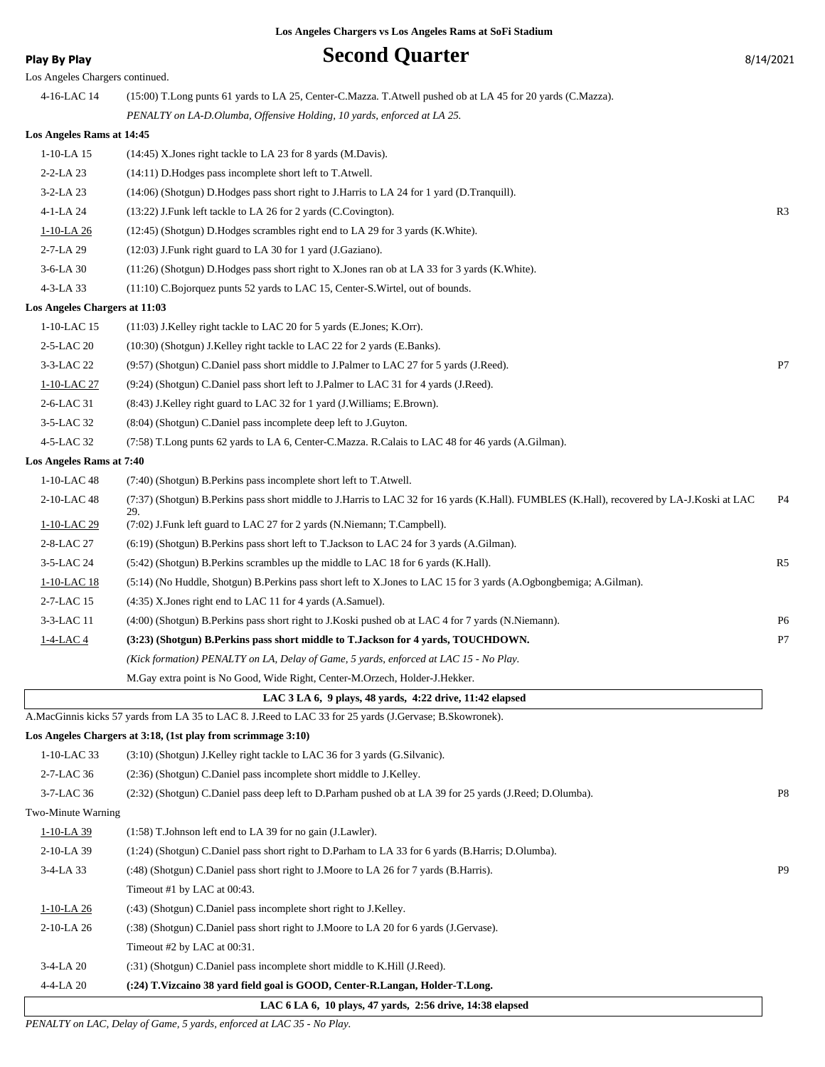## **Play By Play Play Play Second Quarter** 8/14/2021

| Los Angeles Chargers continued. |                                                                                                                                                   |                |
|---------------------------------|---------------------------------------------------------------------------------------------------------------------------------------------------|----------------|
| 4-16-LAC 14                     | (15:00) T.Long punts 61 yards to LA 25, Center-C.Mazza. T.Atwell pushed ob at LA 45 for 20 yards (C.Mazza).                                       |                |
|                                 | PENALTY on LA-D.Olumba, Offensive Holding, 10 yards, enforced at LA 25.                                                                           |                |
| Los Angeles Rams at 14:45       |                                                                                                                                                   |                |
| $1-10-LA$ 15                    | (14:45) X.Jones right tackle to LA 23 for 8 yards (M.Davis).                                                                                      |                |
| 2-2-LA 23                       | (14:11) D.Hodges pass incomplete short left to T.Atwell.                                                                                          |                |
| $3 - 2 - LA$ 23                 | (14:06) (Shotgun) D.Hodges pass short right to J.Harris to LA 24 for 1 yard (D.Tranquill).                                                        |                |
| 4-1-LA 24                       | (13:22) J.Funk left tackle to LA 26 for 2 yards (C.Covington).                                                                                    | R <sub>3</sub> |
| 1-10-LA 26                      | (12:45) (Shotgun) D.Hodges scrambles right end to LA 29 for 3 yards (K. White).                                                                   |                |
| 2-7-LA 29                       | (12:03) J.Funk right guard to LA 30 for 1 yard (J.Gaziano).                                                                                       |                |
| 3-6-LA 30                       | (11:26) (Shotgun) D.Hodges pass short right to X.Jones ran ob at LA 33 for 3 yards (K.White).                                                     |                |
| 4-3-LA 33                       | (11:10) C.Bojorquez punts 52 yards to LAC 15, Center-S.Wirtel, out of bounds.                                                                     |                |
| Los Angeles Chargers at 11:03   |                                                                                                                                                   |                |
| 1-10-LAC 15                     | $(11:03)$ J.Kelley right tackle to LAC 20 for 5 yards (E.Jones; K.Orr).                                                                           |                |
| 2-5-LAC 20                      | (10:30) (Shotgun) J.Kelley right tackle to LAC 22 for 2 yards (E.Banks).                                                                          |                |
| 3-3-LAC 22                      | (9:57) (Shotgun) C.Daniel pass short middle to J.Palmer to LAC 27 for 5 yards (J.Reed).                                                           | P7             |
| 1-10-LAC 27                     | (9:24) (Shotgun) C.Daniel pass short left to J.Palmer to LAC 31 for 4 yards (J.Reed).                                                             |                |
| 2-6-LAC 31                      | (8:43) J.Kelley right guard to LAC 32 for 1 yard (J.Williams; E.Brown).                                                                           |                |
| 3-5-LAC 32                      | (8:04) (Shotgun) C.Daniel pass incomplete deep left to J.Guyton.                                                                                  |                |
| 4-5-LAC 32                      | (7:58) T.Long punts 62 yards to LA 6, Center-C.Mazza. R.Calais to LAC 48 for 46 yards (A.Gilman).                                                 |                |
| Los Angeles Rams at 7:40        |                                                                                                                                                   |                |
| 1-10-LAC 48                     | (7:40) (Shotgun) B.Perkins pass incomplete short left to T.Atwell.                                                                                |                |
| 2-10-LAC 48                     | (7:37) (Shotgun) B.Perkins pass short middle to J.Harris to LAC 32 for 16 yards (K.Hall). FUMBLES (K.Hall), recovered by LA-J.Koski at LAC<br>29. | <b>P4</b>      |
| 1-10-LAC 29                     | (7:02) J.Funk left guard to LAC 27 for 2 yards (N.Niemann; T.Campbell).                                                                           |                |
| 2-8-LAC 27                      | (6:19) (Shotgun) B.Perkins pass short left to T.Jackson to LAC 24 for 3 yards (A.Gilman).                                                         |                |
| 3-5-LAC 24                      | (5:42) (Shotgun) B.Perkins scrambles up the middle to LAC 18 for 6 yards (K.Hall).                                                                | R <sub>5</sub> |
| 1-10-LAC 18                     | (5:14) (No Huddle, Shotgun) B.Perkins pass short left to X.Jones to LAC 15 for 3 yards (A.Ogbongbemiga; A.Gilman).                                |                |
| 2-7-LAC 15                      | (4:35) X. Jones right end to LAC 11 for 4 yards (A. Samuel).                                                                                      |                |
| 3-3-LAC 11                      | (4:00) (Shotgun) B.Perkins pass short right to J.Koski pushed ob at LAC 4 for 7 yards (N.Niemann).                                                | P6             |
| $1-4-LAC4$                      | (3:23) (Shotgun) B.Perkins pass short middle to T.Jackson for 4 yards, TOUCHDOWN.                                                                 | P7             |
|                                 | (Kick formation) PENALTY on LA, Delay of Game, 5 yards, enforced at LAC 15 - No Play.                                                             |                |
|                                 | M.Gay extra point is No Good, Wide Right, Center-M.Orzech, Holder-J.Hekker.                                                                       |                |
|                                 | LAC 3 LA 6, 9 plays, 48 yards, 4:22 drive, 11:42 elapsed                                                                                          |                |
|                                 | A. MacGinnis kicks 57 yards from LA 35 to LAC 8. J. Reed to LAC 33 for 25 yards (J. Gervase; B. Skowronek).                                       |                |
|                                 | Los Angeles Chargers at 3:18, (1st play from scrimmage 3:10)                                                                                      |                |
| 1-10-LAC 33                     | (3:10) (Shotgun) J.Kelley right tackle to LAC 36 for 3 yards (G.Silvanic).                                                                        |                |
| 2-7-LAC 36                      | (2:36) (Shotgun) C.Daniel pass incomplete short middle to J.Kelley.                                                                               |                |
| 3-7-LAC 36                      | (2:32) (Shotgun) C.Daniel pass deep left to D.Parham pushed ob at LA 39 for 25 yards (J.Reed; D.Olumba).                                          | P8             |
| Two-Minute Warning              |                                                                                                                                                   |                |
| $1-10-LA$ 39                    | (1:58) T. Johnson left end to LA 39 for no gain (J. Lawler).                                                                                      |                |
| 2-10-LA 39                      | (1:24) (Shotgun) C.Daniel pass short right to D.Parham to LA 33 for 6 yards (B.Harris; D.Olumba).                                                 |                |
| 3-4-LA 33                       | (:48) (Shotgun) C.Daniel pass short right to J.Moore to LA 26 for 7 yards (B.Harris).                                                             | P <sub>9</sub> |
|                                 | Timeout #1 by LAC at 00:43.                                                                                                                       |                |
| $1-10-LA$ 26                    | (:43) (Shotgun) C.Daniel pass incomplete short right to J.Kelley.                                                                                 |                |
| 2-10-LA 26                      | (:38) (Shotgun) C.Daniel pass short right to J.Moore to LA 20 for 6 yards (J.Gervase).                                                            |                |
|                                 | Timeout #2 by LAC at 00:31.                                                                                                                       |                |
| 3-4-LA 20                       | (:31) (Shotgun) C.Daniel pass incomplete short middle to K.Hill (J.Reed).                                                                         |                |
| 4-4-LA 20                       | (:24) T.Vizcaino 38 yard field goal is GOOD, Center-R.Langan, Holder-T.Long.                                                                      |                |

 **LAC 6 LA 6, 10 plays, 47 yards, 2:56 drive, 14:38 elapsed**

*PENALTY on LAC, Delay of Game, 5 yards, enforced at LAC 35 - No Play.*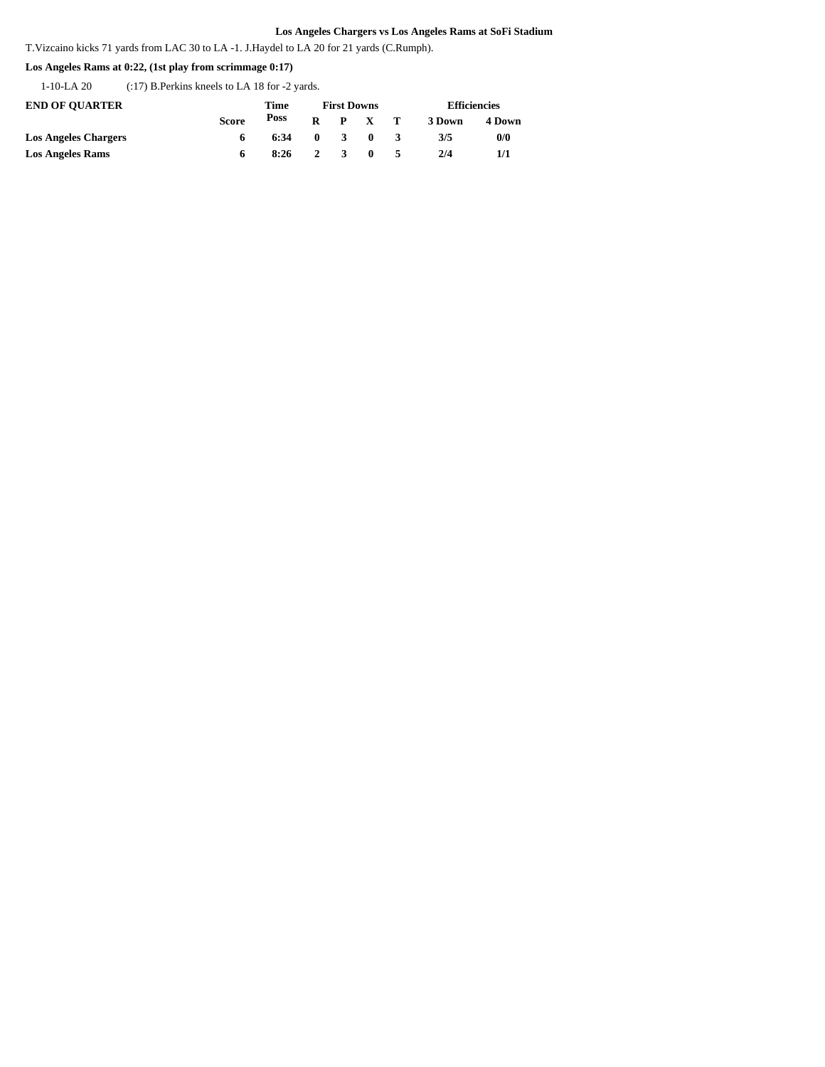T.Vizcaino kicks 71 yards from LAC 30 to LA -1. J.Haydel to LA 20 for 21 yards (C.Rumph).

### **Los Angeles Rams at 0:22, (1st play from scrimmage 0:17)**

1-10-LA 20 (:17) B.Perkins kneels to LA 18 for -2 yards.

| <b>END OF OUARTER</b>       |       | Time         |     | <b>First Downs</b> |                 | <b>Efficiencies</b> |        |  |
|-----------------------------|-------|--------------|-----|--------------------|-----------------|---------------------|--------|--|
|                             | Score | Poss         |     |                    | $R$ $P$ $X$ $T$ | 3 Down              | 4 Down |  |
| <b>Los Angeles Chargers</b> |       | 6:34         | - 0 |                    | 3 O             | 3/5                 | 0/0    |  |
| <b>Los Angeles Rams</b>     |       | $8:26$ 2 3 0 |     |                    |                 | 2/4                 | 1/1    |  |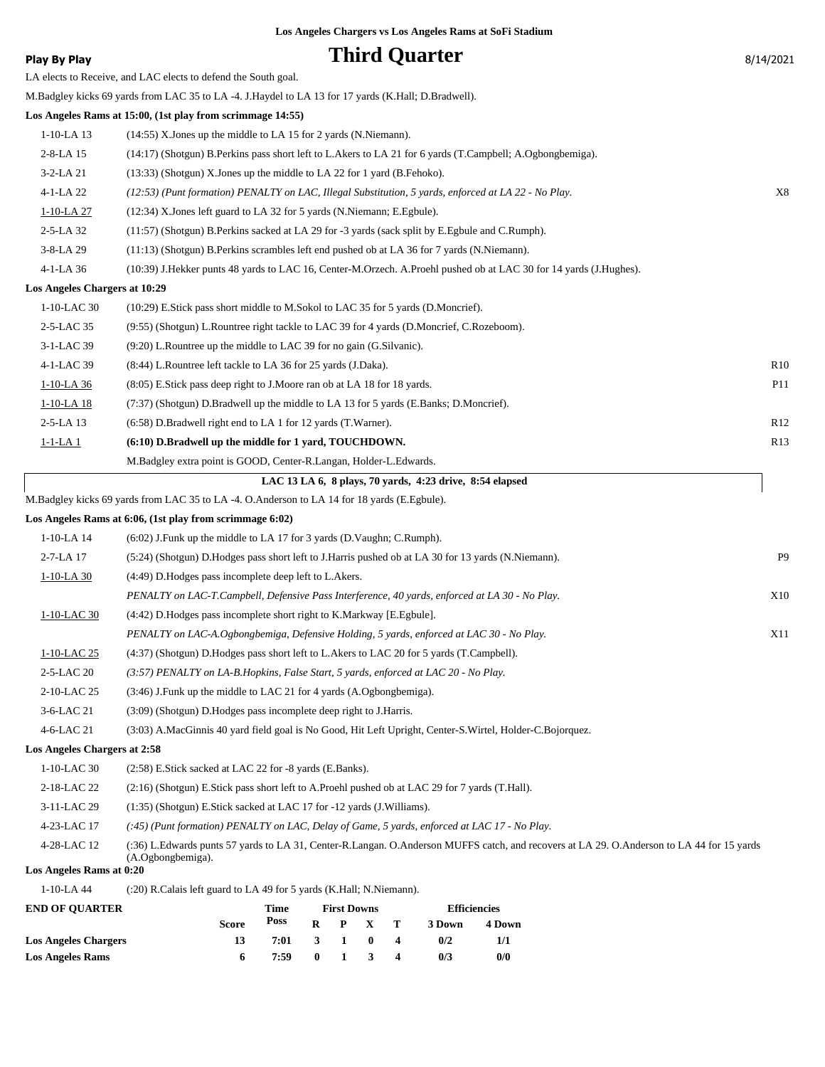| <b>Play By Play</b>                     | <b>Third Quarter</b>                                                                                                                                           | 8/14/2021       |
|-----------------------------------------|----------------------------------------------------------------------------------------------------------------------------------------------------------------|-----------------|
|                                         | LA elects to Receive, and LAC elects to defend the South goal.                                                                                                 |                 |
|                                         | M.Badgley kicks 69 yards from LAC 35 to LA -4. J.Haydel to LA 13 for 17 yards (K.Hall; D.Bradwell).                                                            |                 |
|                                         | Los Angeles Rams at 15:00, (1st play from scrimmage 14:55)                                                                                                     |                 |
| $1-10-LA$ 13                            | $(14:55)$ X. Jones up the middle to LA 15 for 2 yards (N. Niemann).                                                                                            |                 |
| $2 - 8 - LA$ 15                         | (14:17) (Shotgun) B.Perkins pass short left to L.Akers to LA 21 for 6 yards (T.Campbell; A.Ogbongbemiga).                                                      |                 |
| 3-2-LA 21                               | $(13:33)$ (Shotgun) X.Jones up the middle to LA 22 for 1 yard (B.Fehoko).                                                                                      |                 |
| $4 - 1 - LA$ 22                         | (12:53) (Punt formation) PENALTY on LAC, Illegal Substitution, 5 yards, enforced at LA 22 - No Play.                                                           | X8              |
| 1-10-LA 27                              | (12:34) X.Jones left guard to LA 32 for 5 yards (N.Niemann; E.Egbule).                                                                                         |                 |
| $2 - 5 - LA$ 32                         | (11:57) (Shotgun) B.Perkins sacked at LA 29 for -3 yards (sack split by E.Egbule and C.Rumph).                                                                 |                 |
| $3 - 8 - LA$ 29                         | (11:13) (Shotgun) B.Perkins scrambles left end pushed ob at LA 36 for 7 yards (N.Niemann).                                                                     |                 |
| $4 - 1 - LA$ 36                         | (10:39) J.Hekker punts 48 yards to LAC 16, Center-M.Orzech. A.Proehl pushed ob at LAC 30 for 14 yards (J.Hughes).                                              |                 |
| Los Angeles Chargers at 10:29           |                                                                                                                                                                |                 |
| $1-10-LAC$ 30                           | (10:29) E.Stick pass short middle to M.Sokol to LAC 35 for 5 yards (D.Moncrief).                                                                               |                 |
| 2-5-LAC 35                              | (9:55) (Shotgun) L.Rountree right tackle to LAC 39 for 4 yards (D.Moncrief, C.Rozeboom).                                                                       |                 |
| 3-1-LAC 39                              | $(9:20)$ L. Rountree up the middle to LAC 39 for no gain $(G.Silvanic)$ .                                                                                      |                 |
| 4-1-LAC 39                              | (8:44) L.Rountree left tackle to LA 36 for 25 yards (J.Daka).                                                                                                  | R <sub>10</sub> |
| $1-10-LA$ 36                            | (8:05) E. Stick pass deep right to J. Moore ran ob at LA 18 for 18 yards.                                                                                      | P <sub>11</sub> |
| $1-10-LA$ 18                            | (7:37) (Shotgun) D.Bradwell up the middle to LA 13 for 5 yards (E.Banks; D.Moncrief).                                                                          |                 |
| $2 - 5 - LA$ 13                         | (6:58) D.Bradwell right end to LA 1 for 12 yards (T.Warner).                                                                                                   | R <sub>12</sub> |
| $1-1-LA$ 1                              | (6:10) D.Bradwell up the middle for 1 yard, TOUCHDOWN.                                                                                                         | R <sub>13</sub> |
|                                         | M.Badgley extra point is GOOD, Center-R.Langan, Holder-L.Edwards.                                                                                              |                 |
|                                         | LAC 13 LA 6, 8 plays, 70 yards, 4:23 drive, 8:54 elapsed                                                                                                       |                 |
|                                         | M.Badgley kicks 69 yards from LAC 35 to LA -4. O.Anderson to LA 14 for 18 yards (E.Egbule).                                                                    |                 |
|                                         | Los Angeles Rams at 6:06, (1st play from scrimmage 6:02)                                                                                                       |                 |
| $1-10-LA$ 14                            | $(6:02)$ J. Funk up the middle to LA 17 for 3 yards (D. Vaughn; C. Rumph).                                                                                     |                 |
| 2-7-LA 17                               | (5:24) (Shotgun) D.Hodges pass short left to J.Harris pushed ob at LA 30 for 13 yards (N.Niemann).                                                             | P <sub>9</sub>  |
| $1-10-LA$ 30                            | (4:49) D. Hodges pass incomplete deep left to L. Akers.                                                                                                        |                 |
|                                         | PENALTY on LAC-T.Campbell, Defensive Pass Interference, 40 yards, enforced at LA 30 - No Play.                                                                 | X10             |
| 1-10-LAC 30                             | (4:42) D.Hodges pass incomplete short right to K.Markway [E.Egbule].                                                                                           |                 |
|                                         | PENALTY on LAC-A.Ogbongbemiga, Defensive Holding, 5 yards, enforced at LAC 30 - No Play.                                                                       | X11             |
| <u>1-10-LAC 25</u>                      | (4:37) (Shotgun) D.Hodges pass short left to L.Akers to LAC 20 for 5 yards (T.Campbell).                                                                       |                 |
| 2-5-LAC 20                              | (3:57) PENALTY on LA-B.Hopkins, False Start, 5 yards, enforced at LAC 20 - No Play.                                                                            |                 |
| 2-10-LAC 25                             | $(3:46)$ J. Funk up the middle to LAC 21 for 4 yards $(A.Ogbongbemiga)$ .                                                                                      |                 |
| 3-6-LAC 21                              | (3:09) (Shotgun) D.Hodges pass incomplete deep right to J.Harris.                                                                                              |                 |
| 4-6-LAC 21                              | (3:03) A.MacGinnis 40 yard field goal is No Good, Hit Left Upright, Center-S.Wirtel, Holder-C.Bojorquez.                                                       |                 |
| Los Angeles Chargers at 2:58            |                                                                                                                                                                |                 |
| $1-10-LAC30$                            | $(2:58)$ E.Stick sacked at LAC 22 for -8 yards (E.Banks).                                                                                                      |                 |
| 2-18-LAC 22                             | (2:16) (Shotgun) E.Stick pass short left to A.Proehl pushed ob at LAC 29 for 7 yards (T.Hall).                                                                 |                 |
| 3-11-LAC 29                             | $(1:35)$ (Shotgun) E.Stick sacked at LAC 17 for $-12$ yards (J.Williams).                                                                                      |                 |
| 4-23-LAC 17                             | (:45) (Punt formation) PENALTY on LAC, Delay of Game, 5 yards, enforced at LAC 17 - No Play.                                                                   |                 |
| 4-28-LAC 12<br>Los Angeles Rams at 0:20 | (:36) L.Edwards punts 57 yards to LA 31, Center-R.Langan. O.Anderson MUFFS catch, and recovers at LA 29. O.Anderson to LA 44 for 15 yards<br>(A.Ogbongbemiga). |                 |
|                                         |                                                                                                                                                                |                 |

1-10-LA 44 (:20) R.Calais left guard to LA 49 for 5 yards (K.Hall; N.Niemann).

| <b>END OF OUARTER</b>       |              | Time |              |                               | <b>First Downs</b> |   | <b>Efficiencies</b> |        |  |
|-----------------------------|--------------|------|--------------|-------------------------------|--------------------|---|---------------------|--------|--|
|                             | <b>Score</b> | Poss | R            |                               | P X T              |   | 3 Down              | 4 Down |  |
| <b>Los Angeles Chargers</b> | 13           | 7:01 | $\mathbf{3}$ | $\blacksquare$ $\blacksquare$ | $\mathbf{0}$       | 4 | 0/2                 | 1/1    |  |
| <b>Los Angeles Rams</b>     | 6            | 7:59 |              | $0 \quad 1$                   | $\overline{3}$     |   | 0/3                 | 0/0    |  |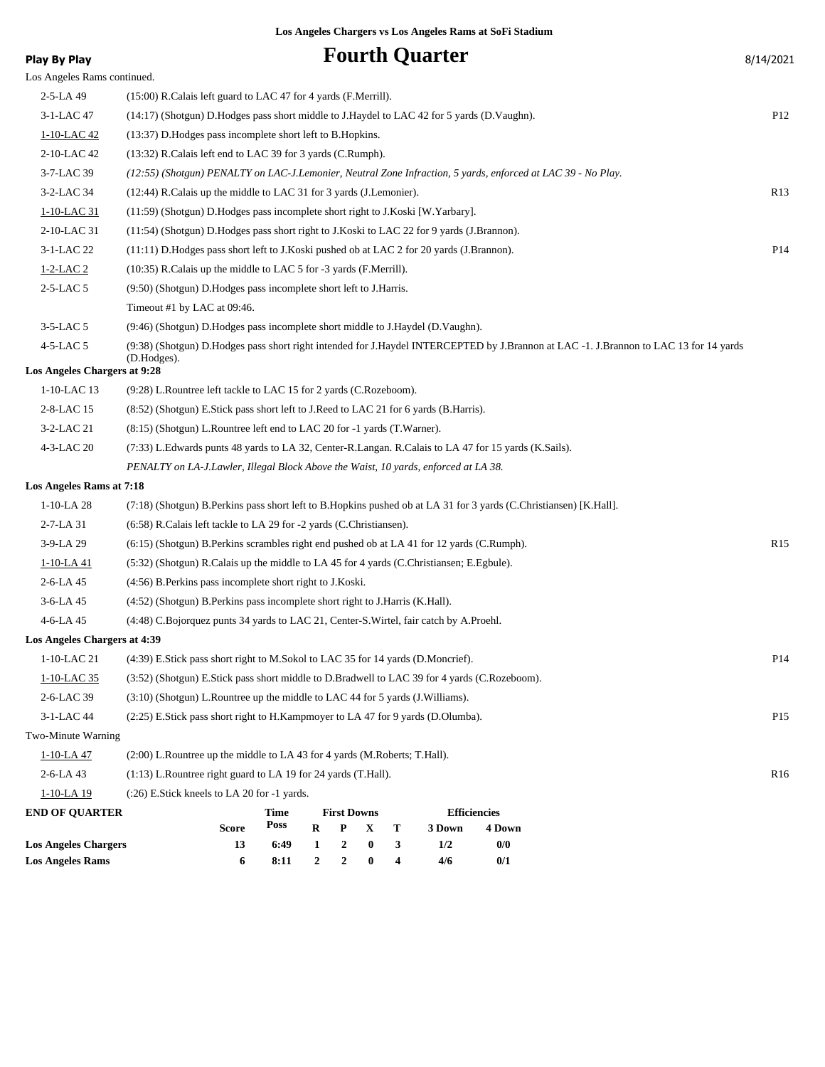| <b>Play By Play</b>                                    |                                                                                                                   |              |                   |                                      |                              |        | <b>Fourth Quarter</b> |                     |                                                                                                                                       | 8/14/2021       |
|--------------------------------------------------------|-------------------------------------------------------------------------------------------------------------------|--------------|-------------------|--------------------------------------|------------------------------|--------|-----------------------|---------------------|---------------------------------------------------------------------------------------------------------------------------------------|-----------------|
| Los Angeles Rams continued.                            |                                                                                                                   |              |                   |                                      |                              |        |                       |                     |                                                                                                                                       |                 |
| 2-5-LA 49                                              | (15:00) R. Calais left guard to LAC 47 for 4 yards (F. Merrill).                                                  |              |                   |                                      |                              |        |                       |                     |                                                                                                                                       |                 |
| 3-1-LAC 47                                             | (14:17) (Shotgun) D.Hodges pass short middle to J.Haydel to LAC 42 for 5 yards (D.Vaughn).                        |              |                   |                                      |                              |        |                       |                     |                                                                                                                                       | P12             |
| 1-10-LAC 42                                            | (13:37) D.Hodges pass incomplete short left to B.Hopkins.                                                         |              |                   |                                      |                              |        |                       |                     |                                                                                                                                       |                 |
| 2-10-LAC 42                                            | $(13:32)$ R.Calais left end to LAC 39 for 3 yards $(C.Rump)$ .                                                    |              |                   |                                      |                              |        |                       |                     |                                                                                                                                       |                 |
| 3-7-LAC 39                                             | (12:55) (Shotgun) PENALTY on LAC-J.Lemonier, Neutral Zone Infraction, 5 yards, enforced at LAC 39 - No Play.      |              |                   |                                      |                              |        |                       |                     |                                                                                                                                       |                 |
| 3-2-LAC 34                                             | (12:44) R.Calais up the middle to LAC 31 for 3 yards (J.Lemonier).                                                |              |                   |                                      |                              |        |                       |                     |                                                                                                                                       | R <sub>13</sub> |
| 1-10-LAC 31                                            | (11:59) (Shotgun) D.Hodges pass incomplete short right to J.Koski [W.Yarbary].                                    |              |                   |                                      |                              |        |                       |                     |                                                                                                                                       |                 |
| 2-10-LAC 31                                            | (11:54) (Shotgun) D.Hodges pass short right to J.Koski to LAC 22 for 9 yards (J.Brannon).                         |              |                   |                                      |                              |        |                       |                     |                                                                                                                                       |                 |
| 3-1-LAC 22                                             | (11:11) D.Hodges pass short left to J.Koski pushed ob at LAC 2 for 20 yards (J.Brannon).                          |              |                   |                                      |                              |        |                       |                     |                                                                                                                                       | P14             |
| $1-2-LAC2$                                             | $(10:35)$ R.Calais up the middle to LAC 5 for -3 yards (F.Merrill).                                               |              |                   |                                      |                              |        |                       |                     |                                                                                                                                       |                 |
| $2-5$ -LAC 5                                           | (9:50) (Shotgun) D.Hodges pass incomplete short left to J.Harris.                                                 |              |                   |                                      |                              |        |                       |                     |                                                                                                                                       |                 |
|                                                        | Timeout #1 by LAC at 09:46.                                                                                       |              |                   |                                      |                              |        |                       |                     |                                                                                                                                       |                 |
| $3-5$ -LAC 5                                           | (9:46) (Shotgun) D.Hodges pass incomplete short middle to J.Haydel (D.Vaughn).                                    |              |                   |                                      |                              |        |                       |                     |                                                                                                                                       |                 |
| $4-5-LAC5$                                             | (D.Hodges).                                                                                                       |              |                   |                                      |                              |        |                       |                     | (9:38) (Shotgun) D.Hodges pass short right intended for J.Haydel INTERCEPTED by J.Brannon at LAC -1. J.Brannon to LAC 13 for 14 yards |                 |
| Los Angeles Chargers at 9:28                           |                                                                                                                   |              |                   |                                      |                              |        |                       |                     |                                                                                                                                       |                 |
| 1-10-LAC 13                                            | (9:28) L.Rountree left tackle to LAC 15 for 2 yards (C.Rozeboom).                                                 |              |                   |                                      |                              |        |                       |                     |                                                                                                                                       |                 |
| 2-8-LAC 15                                             | (8.52) (Shotgun) E.Stick pass short left to J.Reed to LAC 21 for 6 yards (B.Harris).                              |              |                   |                                      |                              |        |                       |                     |                                                                                                                                       |                 |
| 3-2-LAC 21                                             | (8:15) (Shotgun) L.Rountree left end to LAC 20 for -1 yards (T.Warner).                                           |              |                   |                                      |                              |        |                       |                     |                                                                                                                                       |                 |
| 4-3-LAC 20                                             | (7:33) L. Edwards punts 48 yards to LA 32, Center-R. Langan. R. Calais to LA 47 for 15 yards (K. Sails).          |              |                   |                                      |                              |        |                       |                     |                                                                                                                                       |                 |
|                                                        | PENALTY on LA-J.Lawler, Illegal Block Above the Waist, 10 yards, enforced at LA 38.                               |              |                   |                                      |                              |        |                       |                     |                                                                                                                                       |                 |
| Los Angeles Rams at 7:18                               |                                                                                                                   |              |                   |                                      |                              |        |                       |                     |                                                                                                                                       |                 |
| $1-10-LA28$                                            | (7:18) (Shotgun) B.Perkins pass short left to B.Hopkins pushed ob at LA 31 for 3 yards (C.Christiansen) [K.Hall]. |              |                   |                                      |                              |        |                       |                     |                                                                                                                                       |                 |
| 2-7-LA 31                                              | (6:58) R.Calais left tackle to LA 29 for -2 yards (C.Christiansen).                                               |              |                   |                                      |                              |        |                       |                     |                                                                                                                                       |                 |
| 3-9-LA 29                                              | $(6:15)$ (Shotgun) B. Perkins scrambles right end pushed ob at LA 41 for 12 yards (C. Rumph).                     |              |                   |                                      |                              |        |                       |                     |                                                                                                                                       | R15             |
| 1-10-LA 41                                             | (5.32) (Shotgun) R.Calais up the middle to LA 45 for 4 yards (C.Christiansen; E.Egbule).                          |              |                   |                                      |                              |        |                       |                     |                                                                                                                                       |                 |
| 2-6-LA 45                                              | (4:56) B. Perkins pass incomplete short right to J. Koski.                                                        |              |                   |                                      |                              |        |                       |                     |                                                                                                                                       |                 |
| $3-6-LA$ 45                                            | (4:52) (Shotgun) B. Perkins pass incomplete short right to J. Harris (K. Hall).                                   |              |                   |                                      |                              |        |                       |                     |                                                                                                                                       |                 |
| 4-6-LA 45                                              | (4:48) C.Bojorquez punts 34 yards to LAC 21, Center-S.Wirtel, fair catch by A.Proehl.                             |              |                   |                                      |                              |        |                       |                     |                                                                                                                                       |                 |
| Los Angeles Chargers at 4:39                           |                                                                                                                   |              |                   |                                      |                              |        |                       |                     |                                                                                                                                       |                 |
| 1-10-LAC 21                                            | (4:39) E.Stick pass short right to M.Sokol to LAC 35 for 14 yards (D.Moncrief).                                   |              |                   |                                      |                              |        |                       |                     |                                                                                                                                       | P14             |
| 1-10-LAC 35                                            | (3:52) (Shotgun) E.Stick pass short middle to D.Bradwell to LAC 39 for 4 yards (C.Rozeboom).                      |              |                   |                                      |                              |        |                       |                     |                                                                                                                                       |                 |
| 2-6-LAC 39                                             | (3:10) (Shotgun) L.Rountree up the middle to LAC 44 for 5 yards (J.Williams).                                     |              |                   |                                      |                              |        |                       |                     |                                                                                                                                       |                 |
| 3-1-LAC 44                                             | (2:25) E.Stick pass short right to H.Kampmoyer to LA 47 for 9 yards (D.Olumba).                                   |              |                   |                                      |                              |        |                       |                     |                                                                                                                                       | P <sub>15</sub> |
| Two-Minute Warning                                     |                                                                                                                   |              |                   |                                      |                              |        |                       |                     |                                                                                                                                       |                 |
| 1-10-LA 47                                             | (2:00) L.Rountree up the middle to LA 43 for 4 yards (M.Roberts; T.Hall).                                         |              |                   |                                      |                              |        |                       |                     |                                                                                                                                       |                 |
| 2-6-LA 43                                              | (1:13) L.Rountree right guard to LA 19 for 24 yards (T.Hall).                                                     |              |                   |                                      |                              |        |                       |                     |                                                                                                                                       | R <sub>16</sub> |
| $1-10-LA$ 19                                           | (:26) E.Stick kneels to LA 20 for -1 yards.                                                                       |              |                   |                                      |                              |        |                       |                     |                                                                                                                                       |                 |
| <b>END OF QUARTER</b>                                  |                                                                                                                   | Time         |                   | <b>First Downs</b>                   |                              |        |                       | <b>Efficiencies</b> |                                                                                                                                       |                 |
|                                                        | Score                                                                                                             | Poss         | R                 | P                                    | X                            | Т      | 3 Down                | 4 Down              |                                                                                                                                       |                 |
| <b>Los Angeles Chargers</b><br><b>Los Angeles Rams</b> | 13<br>6                                                                                                           | 6:49<br>8:11 | 1<br>$\mathbf{2}$ | $\boldsymbol{2}$<br>$\boldsymbol{2}$ | $\boldsymbol{0}$<br>$\bf{0}$ | 3<br>4 | 1/2<br>4/6            | 0/0<br>0/1          |                                                                                                                                       |                 |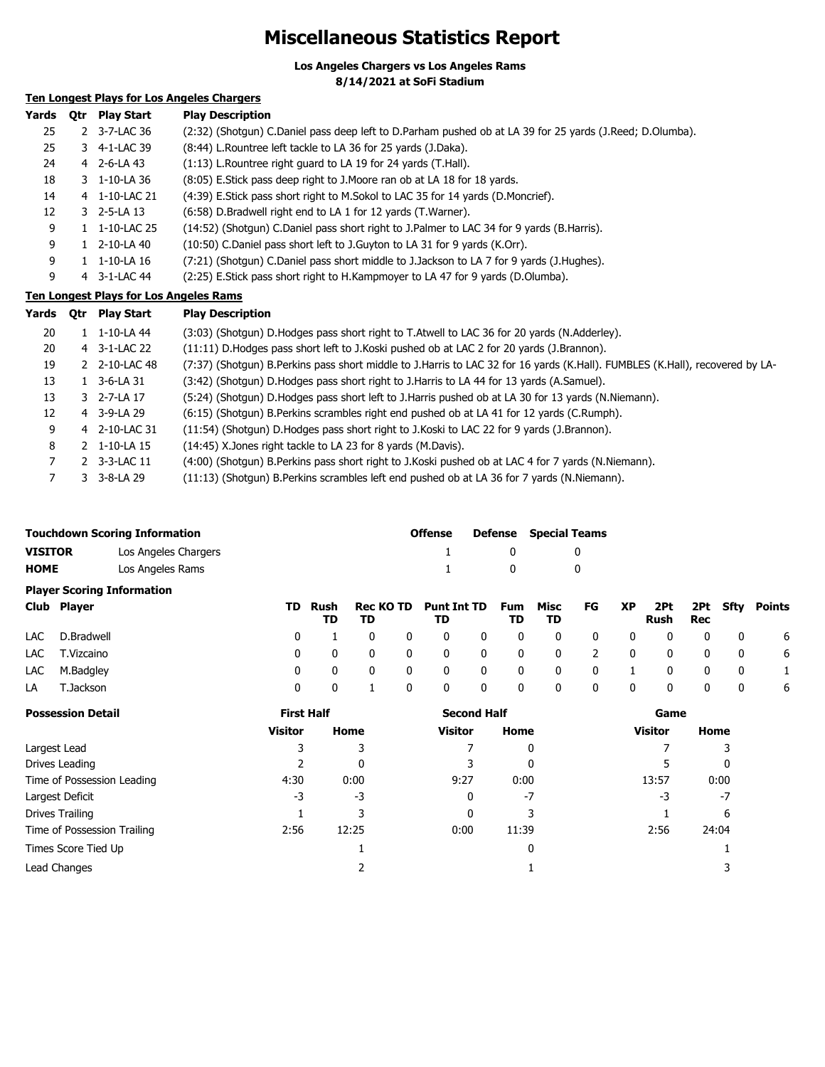# **Miscellaneous Statistics Report**

**Los Angeles Chargers vs Los Angeles Rams**

**8/14/2021 at SoFi Stadium**

## **Ten Longest Plays for Los Angeles Chargers**

| Yards | Otr          | <b>Play Start</b> | <b>Play Description</b>                                                                                  |
|-------|--------------|-------------------|----------------------------------------------------------------------------------------------------------|
| 25    |              | 2 3-7-LAC 36      | (2:32) (Shotgun) C.Daniel pass deep left to D.Parham pushed ob at LA 39 for 25 yards (J.Reed; D.Olumba). |
| 25    |              | 3 4-1-LAC 39      | (8:44) L. Rountree left tackle to LA 36 for 25 yards (J. Daka).                                          |
| 24    |              | 4 2-6-LA 43       | (1:13) L. Rountree right guard to LA 19 for 24 yards (T. Hall).                                          |
| 18    |              | 3 1-10-LA 36      | (8:05) E. Stick pass deep right to J. Moore ran ob at LA 18 for 18 yards.                                |
| 14    |              | 4 1-10-LAC 21     | (4:39) E. Stick pass short right to M. Sokol to LAC 35 for 14 yards (D. Moncrief).                       |
| 12    |              | 3 2-5-LA 13       | (6:58) D.Bradwell right end to LA 1 for 12 yards (T.Warner).                                             |
| 9     |              | 1 1-10-LAC 25     | (14:52) (Shotgun) C.Daniel pass short right to J.Palmer to LAC 34 for 9 yards (B.Harris).                |
| 9     | 1.           | 2-10-LA 40        | (10:50) C.Daniel pass short left to J.Guyton to LA 31 for 9 yards (K.Orr).                               |
| 9     | $\mathbf{1}$ | 1-10-LA 16        | (7:21) (Shotgun) C.Daniel pass short middle to J.Jackson to LA 7 for 9 yards (J.Hughes).                 |
| 9     |              | 4 3-1-LAC 44      | (2:25) E.Stick pass short right to H.Kampmoyer to LA 47 for 9 yards (D.Olumba).                          |

### **Ten Longest Plays for Los Angeles Rams**

| Yards | 0tr | <b>Play Start</b>              | <b>Play Description</b>                                                                                                      |
|-------|-----|--------------------------------|------------------------------------------------------------------------------------------------------------------------------|
| 20    |     | 1 1-10-LA 44                   | (3:03) (Shotgun) D. Hodges pass short right to T. Atwell to LAC 36 for 20 yards (N. Adderley).                               |
| 20    |     | 4 3-1-LAC 22                   | (11:11) D. Hodges pass short left to J. Koski pushed ob at LAC 2 for 20 yards (J. Brannon).                                  |
| 19    |     | 2 2-10-LAC 48                  | (7:37) (Shotgun) B.Perkins pass short middle to J.Harris to LAC 32 for 16 yards (K.Hall). FUMBLES (K.Hall), recovered by LA- |
| 13    |     | $1 \quad 3 - 6 - L A \quad 31$ | (3:42) (Shotqun) D.Hodges pass short right to J.Harris to LA 44 for 13 yards (A.Samuel).                                     |
| 13    |     | 3 2-7-LA 17                    | (5:24) (Shotgun) D.Hodges pass short left to J.Harris pushed ob at LA 30 for 13 yards (N.Niemann).                           |
| 12    |     | 4 3-9-LA 29                    | (6:15) (Shotgun) B.Perkins scrambles right end pushed ob at LA 41 for 12 yards (C.Rumph).                                    |
| 9     |     | 4 2-10-LAC 31                  | (11:54) (Shotgun) D.Hodges pass short right to J.Koski to LAC 22 for 9 yards (J.Brannon).                                    |
| 8     |     | 2 1-10-LA 15                   | (14:45) X.Jones right tackle to LA 23 for 8 yards (M.Davis).                                                                 |
|       |     | 2 3-3-LAC 11                   | (4:00) (Shotgun) B.Perkins pass short right to J.Koski pushed ob at LAC 4 for 7 yards (N.Niemann).                           |
|       |     | $3 - 3 - 8 - LA$ 29            | (11:13) (Shotgun) B.Perkins scrambles left end pushed ob at LA 36 for 7 yards (N.Niemann).                                   |

|             | <b>Touchdown Scoring Information</b> | <b>Offense</b> |              | Defense Special Teams |
|-------------|--------------------------------------|----------------|--------------|-----------------------|
| VISITOR     | Los Angeles Chargers                 |                |              |                       |
| <b>HOME</b> | Los Angeles Rams                     |                | $\mathbf{u}$ |                       |
|             | <b>Player Scoring Information</b>    |                |              |                       |

| Club Player    | TD.                      | TD             | TD                  | TD. | <b>TD</b>                               |  | Rush Rec |                         | TD Rush Rec KOTD Punt Int TD Fum Misc FG XP 2Pt 2Pt Sfty Points |
|----------------|--------------------------|----------------|---------------------|-----|-----------------------------------------|--|----------|-------------------------|-----------------------------------------------------------------|
| LAC D.Bradwell | $0 \t 1$                 |                | 0 0 0 0 0 0 0 0 0 0 |     |                                         |  |          |                         | $0 \t\t 6$                                                      |
| LAC T.Vizcaino |                          |                |                     |     |                                         |  |          | $\cdot$ 0               | 6                                                               |
| LAC M.Badgley  | $\Omega$<br>$\mathbf{0}$ | $\overline{0}$ | 0 0 0 0 0 0 1 0 0   |     |                                         |  |          | $\overline{0}$          | $\overline{1}$                                                  |
| LA T.Jackson   | $\Omega$                 |                | $0\qquad 0\qquad 0$ |     | $\begin{matrix}0&0&0&0&0&0\end{matrix}$ |  |          | $\overline{\mathbf{0}}$ | 6                                                               |

| <b>Possession Detail</b>    | <b>First Half</b> |       | <b>Second Half</b> |       | Game           |       |  |
|-----------------------------|-------------------|-------|--------------------|-------|----------------|-------|--|
|                             | Visitor           | Home  | Visitor            | Home  | <b>Visitor</b> | Home  |  |
| Largest Lead                |                   |       |                    | 0     |                |       |  |
| Drives Leading              |                   | 0     |                    | 0     |                | 0     |  |
| Time of Possession Leading  | 4:30              | 0:00  | 9:27               | 0:00  | 13:57          | 0:00  |  |
| Largest Deficit             | -3                | -3    | 0                  | $-7$  | -3             | $-7$  |  |
| Drives Trailing             |                   |       | 0                  | 3     |                | 6     |  |
| Time of Possession Trailing | 2:56              | 12:25 | 0:00               | 11:39 | 2:56           | 24:04 |  |
| Times Score Tied Up         |                   |       |                    | 0     |                |       |  |
| Lead Changes                |                   |       |                    |       |                |       |  |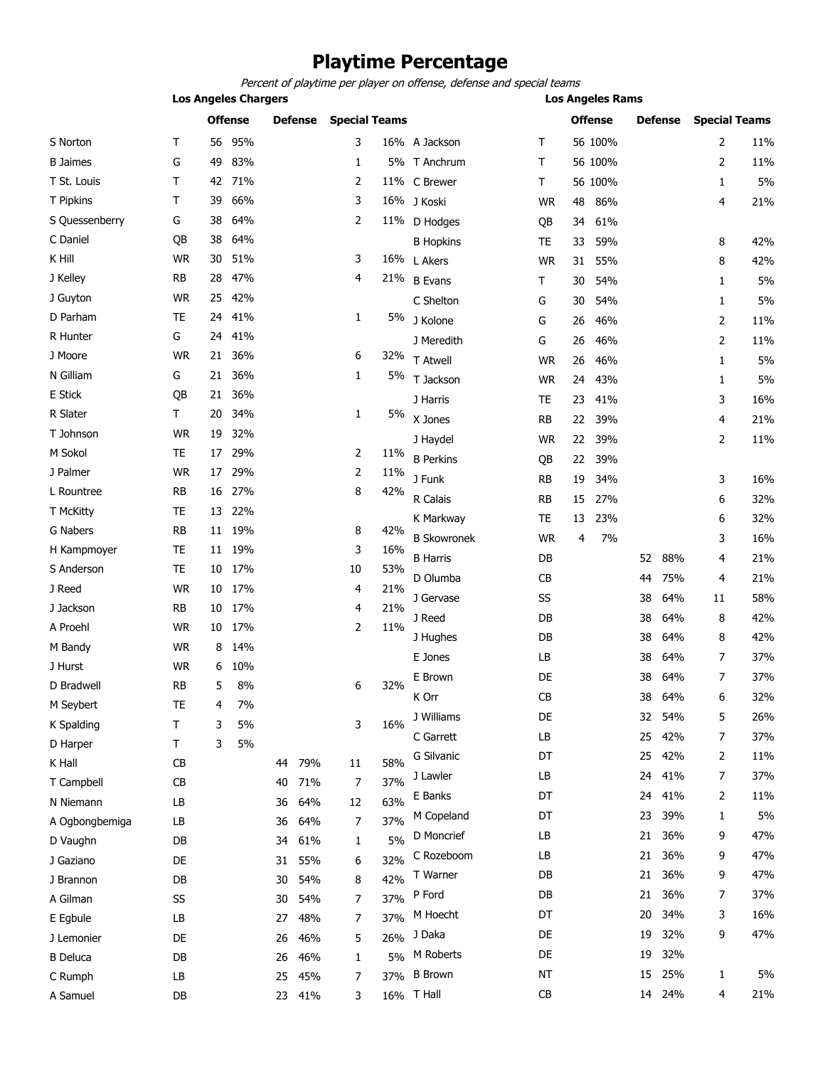# **Playtime Percentage**

Percent of playtime per player on offense, defense and special teams

|                  | <b>Los Angeles Chargers</b> |    |                |    |                |                      |     |                                 | <b>Los Angeles Rams</b> |    |                |    |         |                      |            |
|------------------|-----------------------------|----|----------------|----|----------------|----------------------|-----|---------------------------------|-------------------------|----|----------------|----|---------|----------------------|------------|
|                  |                             |    | <b>Offense</b> |    | <b>Defense</b> | <b>Special Teams</b> |     |                                 |                         |    | <b>Offense</b> |    | Defense | <b>Special Teams</b> |            |
| S Norton         | $\mathsf T$                 | 56 | 95%            |    |                | 3                    |     | 16% A Jackson                   | Τ                       |    | 56 100%        |    |         | 2                    | 11%        |
| <b>B</b> Jaimes  | G                           | 49 | 83%            |    |                | $\mathbf{1}$         |     | 5% T Anchrum                    | T                       |    | 56 100%        |    |         | 2                    | 11%        |
| T St. Louis      | т                           |    | 42 71%         |    |                | 2                    |     | 11% C Brewer                    | T                       |    | 56 100%        |    |         | $\mathbf{1}$         | 5%         |
| T Pipkins        | T                           | 39 | 66%            |    |                | 3                    |     | 16% J Koski                     | <b>WR</b>               | 48 | 86%            |    |         | 4                    | 21%        |
| S Quessenberry   | G                           | 38 | 64%            |    |                | 2                    |     | 11% D Hodges                    | QB                      | 34 | 61%            |    |         |                      |            |
| C Daniel         | QB                          | 38 | 64%            |    |                |                      |     | <b>B</b> Hopkins                | <b>TE</b>               | 33 | 59%            |    |         | 8                    | 42%        |
| K Hill           | <b>WR</b>                   | 30 | 51%            |    |                | 3                    |     | 16% L Akers                     | <b>WR</b>               | 31 | 55%            |    |         | 8                    | 42%        |
| J Kelley         | <b>RB</b>                   | 28 | 47%            |    |                | 4                    |     | 21% B Evans                     | T                       | 30 | 54%            |    |         | $\mathbf{1}$         | 5%         |
| J Guyton         | <b>WR</b>                   | 25 | 42%            |    |                |                      |     | C Shelton                       | G                       | 30 | 54%            |    |         | 1                    | 5%         |
| D Parham         | <b>TE</b>                   | 24 | 41%            |    |                | 1                    |     | 5% J Kolone                     | G                       | 26 | 46%            |    |         | 2                    | 11%        |
| R Hunter         | G                           | 24 | 41%            |    |                |                      |     | J Meredith                      | G                       | 26 | 46%            |    |         | $\overline{2}$       | 11%        |
| J Moore          | <b>WR</b>                   | 21 | 36%            |    |                | 6                    | 32% | <b>T</b> Atwell                 | <b>WR</b>               | 26 | 46%            |    |         | 1                    | 5%         |
| N Gilliam        | G                           |    | 21 36%         |    |                | 1                    | 5%  | T Jackson                       | <b>WR</b>               | 24 | 43%            |    |         | $\mathbf{1}$         | 5%         |
| E Stick          | QB                          | 21 | 36%            |    |                |                      |     | J Harris                        | TE                      | 23 | 41%            |    |         | 3                    | 16%        |
| R Slater         | Τ                           | 20 | 34%            |    |                | 1                    | 5%  | X Jones                         | <b>RB</b>               | 22 | 39%            |    |         | 4                    | 21%        |
| T Johnson        | <b>WR</b>                   | 19 | 32%            |    |                |                      |     | J Haydel                        | <b>WR</b>               | 22 | 39%            |    |         | 2                    | 11%        |
| M Sokol          | TE                          | 17 | 29%            |    |                | 2                    | 11% | <b>B</b> Perkins                | QB                      | 22 | 39%            |    |         |                      |            |
| J Palmer         | <b>WR</b>                   | 17 | 29%            |    |                | 2                    | 11% | J Funk                          | RB                      | 19 | 34%            |    |         | 3                    | 16%        |
| L Rountree       | <b>RB</b>                   | 16 | 27%            |    |                | 8                    | 42% | R Calais                        | <b>RB</b>               | 15 | 27%            |    |         | 6                    | 32%        |
| <b>T McKitty</b> | TE                          | 13 | 22%            |    |                |                      |     |                                 | <b>TE</b>               | 13 |                |    |         |                      |            |
| G Nabers         | <b>RB</b>                   | 11 | 19%            |    |                | 8                    | 42% | K Markway<br><b>B Skowronek</b> | <b>WR</b>               |    | 23%<br>7%      |    |         | 6<br>3               | 32%<br>16% |
| H Kampmoyer      | TE                          |    | 11 19%         |    |                | 3                    | 16% |                                 |                         | 4  |                |    |         |                      |            |
| S Anderson       | <b>TE</b>                   | 10 | 17%            |    |                | 10                   | 53% | <b>B</b> Harris                 | DB                      |    |                | 52 | 88%     | 4                    | 21%        |
| J Reed           | <b>WR</b>                   | 10 | 17%            |    |                | 4                    | 21% | D Olumba                        | CB                      |    |                | 44 | 75%     | 4                    | 21%        |
| J Jackson        | RB                          | 10 | 17%            |    |                | 4                    | 21% | J Gervase                       | SS                      |    |                | 38 | 64%     | 11                   | 58%        |
| A Proehl         | <b>WR</b>                   | 10 | 17%            |    |                | 2                    | 11% | J Reed                          | DB                      |    |                | 38 | 64%     | 8                    | 42%        |
| M Bandy          | <b>WR</b>                   | 8  | 14%            |    |                |                      |     | J Hughes                        | DB                      |    |                | 38 | 64%     | 8                    | 42%        |
| J Hurst          | <b>WR</b>                   | 6  | 10%            |    |                |                      |     | E Jones                         | LB                      |    |                | 38 | 64%     | 7                    | 37%        |
| D Bradwell       | <b>RB</b>                   | 5  | 8%             |    |                | 6                    | 32% | E Brown                         | DE                      |    |                | 38 | 64%     | 7                    | 37%        |
| M Seybert        | TE                          | 4  | 7%             |    |                |                      |     | K Orr                           | CB                      |    |                | 38 | 64%     | 6                    | 32%        |
| K Spalding       | T                           | 3  | 5%             |    |                | 3                    | 16% | J Williams                      | DE                      |    |                | 32 | 54%     | 5                    | 26%        |
| D Harper         | т                           | 3  | 5%             |    |                |                      |     | C Garrett                       | LB                      |    |                | 25 | 42%     | 7                    | 37%        |
| K Hall           | CB                          |    |                | 44 | 79%            | 11                   | 58% | G Silvanic                      | DT                      |    |                | 25 | 42%     | 2                    | 11%        |
| T Campbell       | CB                          |    |                | 40 | 71%            | 7                    | 37% | J Lawler                        | LB                      |    |                | 24 | 41%     | 7                    | 37%        |
| N Niemann        | LB                          |    |                | 36 | 64%            | 12                   | 63% | E Banks                         | DT                      |    |                | 24 | 41%     | 2                    | 11%        |
| A Ogbongbemiga   | LB                          |    |                | 36 | 64%            | 7                    | 37% | M Copeland                      | DT                      |    |                | 23 | 39%     | 1                    | 5%         |
| D Vaughn         | DB                          |    |                | 34 | 61%            | $\mathbf{1}$         | 5%  | D Moncrief                      | LB                      |    |                | 21 | 36%     | 9                    | 47%        |
| J Gaziano        | DE                          |    |                | 31 | 55%            | 6                    | 32% | C Rozeboom                      | LB                      |    |                | 21 | 36%     | 9                    | 47%        |
| J Brannon        | DB                          |    |                | 30 | 54%            | 8                    | 42% | T Warner                        | DB                      |    |                | 21 | 36%     | 9                    | 47%        |
| A Gilman         | SS                          |    |                | 30 | 54%            | 7                    | 37% | P Ford                          | DB                      |    |                | 21 | 36%     | 7                    | 37%        |
| E Egbule         | LB                          |    |                | 27 | 48%            | 7                    | 37% | M Hoecht                        | DT                      |    |                | 20 | 34%     | 3                    | 16%        |
| J Lemonier       | DE                          |    |                | 26 | 46%            | 5                    | 26% | J Daka                          | DE                      |    |                | 19 | 32%     | 9                    | 47%        |
| <b>B</b> Deluca  | DB                          |    |                | 26 | 46%            | 1                    | 5%  | M Roberts                       | DE                      |    |                | 19 | 32%     |                      |            |
| C Rumph          | LB                          |    |                | 25 | 45%            | 7                    | 37% | <b>B</b> Brown                  | ΝT                      |    |                | 15 | 25%     | $\mathbf{1}$         | 5%         |
| A Samuel         | DB                          |    |                |    | 23 41%         | 3                    |     | $16\%$ T Hall                   | CB                      |    |                |    | 14 24%  | 4                    | 21%        |